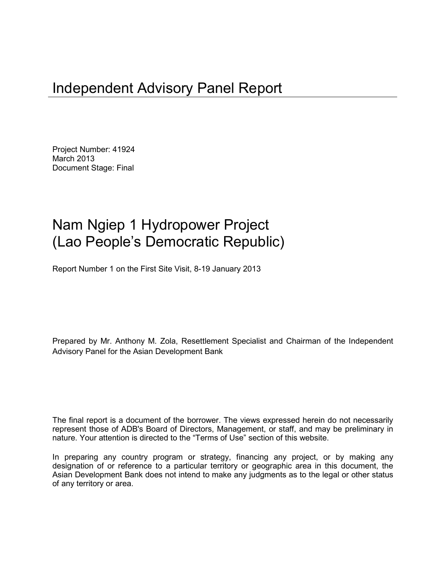# Independent Advisory Panel Report

Project Number: 41924 March 2013 Document Stage: Final

# Nam Ngiep 1 Hydropower Project (Lao People's Democratic Republic)

Report Number 1 on the First Site Visit, 8-19 January 2013

Prepared by Mr. Anthony M. Zola, Resettlement Specialist and Chairman of the Independent Advisory Panel for the Asian Development Bank

The final report is a document of the borrower. The views expressed herein do not necessarily represent those of ADB's Board of Directors, Management, or staff, and may be preliminary in nature. Your attention is directed to the "Terms of Use" section of this website.

In preparing any country program or strategy, financing any project, or by making any designation of or reference to a particular territory or geographic area in this document, the Asian Development Bank does not intend to make any judgments as to the legal or other status of any territory or area.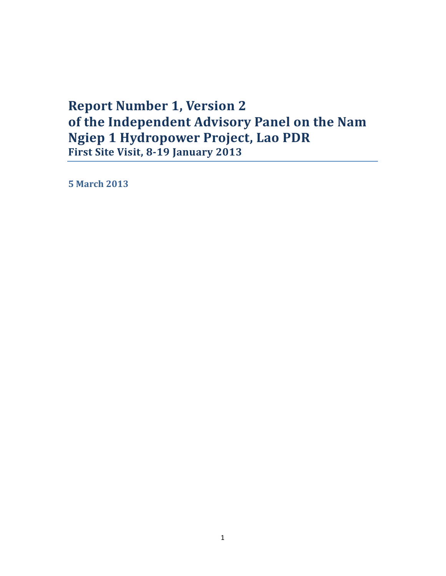## **Report Number 1, Version 2 of the Independent Advisory Panel on the Nam Ngiep 1 Hydropower Project, Lao PDR First Site Visit, 8-19 January 2013**

**5 March 2013**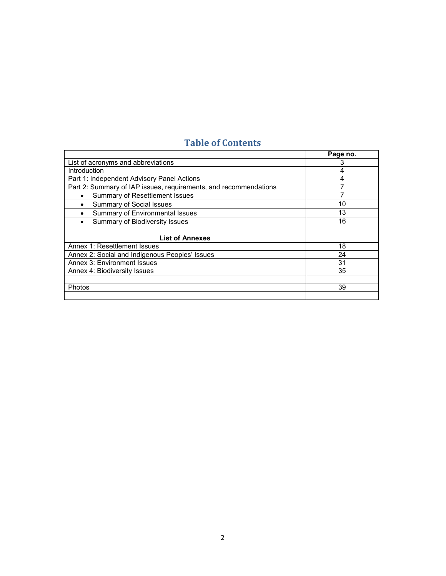## **Table of Contents**

|                                                                  | Page no. |
|------------------------------------------------------------------|----------|
| List of acronyms and abbreviations                               |          |
| <b>Introduction</b>                                              | 4        |
| Part 1: Independent Advisory Panel Actions                       | 4        |
| Part 2: Summary of IAP issues, requirements, and recommendations |          |
| Summary of Resettlement Issues<br>٠                              |          |
| <b>Summary of Social Issues</b><br>٠                             | 10       |
| Summary of Environmental Issues                                  | 13       |
| Summary of Biodiversity Issues<br>٠                              | 16       |
|                                                                  |          |
| <b>List of Annexes</b>                                           |          |
| Annex 1: Resettlement Issues                                     | 18       |
| Annex 2: Social and Indigenous Peoples' Issues                   | 24       |
| Annex 3: Environment Issues                                      | 31       |
| Annex 4: Biodiversity Issues                                     | 35       |
|                                                                  |          |
| Photos                                                           | 39       |
|                                                                  |          |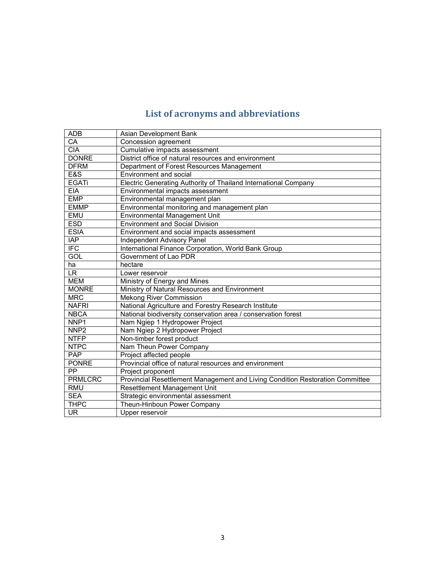## **List of acronyms and abbreviations**

| <b>ADB</b>       | Asian Development Bank                                                        |
|------------------|-------------------------------------------------------------------------------|
| CA               | Concession agreement                                                          |
| <b>CIA</b>       | Cumulative impacts assessment                                                 |
| <b>DONRE</b>     | District office of natural resources and environment                          |
| <b>DFRM</b>      | Department of Forest Resources Management                                     |
| E&S              | Environment and social                                                        |
| <b>EGATi</b>     | Electric Generating Authority of Thailand International Company               |
| <b>EIA</b>       | Environmental impacts assessment                                              |
| <b>EMP</b>       | Environmental management plan                                                 |
| <b>EMMP</b>      | Environmental monitoring and management plan                                  |
| <b>EMU</b>       | Environmental Management Unit                                                 |
| <b>ESD</b>       | <b>Environment and Social Division</b>                                        |
| <b>ESIA</b>      | Environment and social impacts assessment                                     |
| <b>IAP</b>       | Independent Advisory Panel                                                    |
| <b>IFC</b>       | International Finance Corporation, World Bank Group                           |
| GOL              | Government of Lao PDR                                                         |
| ha               | hectare                                                                       |
| LR.              | Lower reservoir                                                               |
| <b>MEM</b>       | Ministry of Energy and Mines                                                  |
| <b>MONRE</b>     | Ministry of Natural Resources and Environment                                 |
| <b>MRC</b>       | <b>Mekong River Commission</b>                                                |
| <b>NAFRI</b>     | National Agriculture and Forestry Research Institute                          |
| <b>NBCA</b>      | National biodiversity conservation area / conservation forest                 |
| NNP <sub>1</sub> | Nam Ngiep 1 Hydropower Project                                                |
| NNP <sub>2</sub> | Nam Ngiep 2 Hydropower Project                                                |
| <b>NTFP</b>      | Non-timber forest product                                                     |
| <b>NTPC</b>      | Nam Theun Power Company                                                       |
| <b>PAP</b>       | Project affected people                                                       |
| <b>PONRE</b>     | Provincial office of natural resources and environment                        |
| PP.              | Project proponent                                                             |
| <b>PRMLCRC</b>   | Provincial Resettlement Management and Living Condition Restoration Committee |
| <b>RMU</b>       | Resettlement Management Unit                                                  |
| <b>SEA</b>       | Strategic environmental assessment                                            |
| <b>THPC</b>      | Theun-Hinboun Power Company                                                   |
| <b>UR</b>        | Upper reservoir                                                               |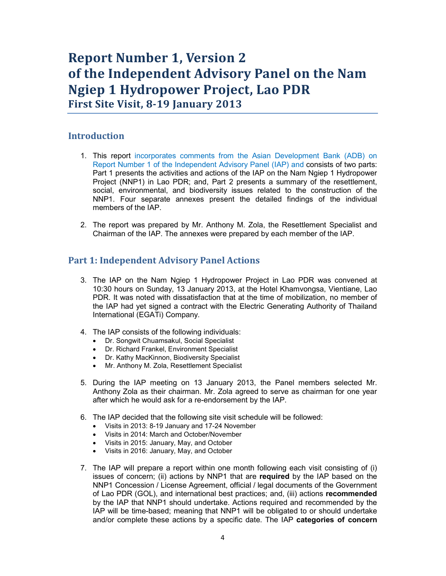## **Report Number 1, Version 2 of the Independent Advisory Panel on the Nam Ngiep 1 Hydropower Project, Lao PDR First Site Visit, 8-19 January 2013**

### **Introduction**

- 1. This report incorporates comments from the Asian Development Bank (ADB) on Report Number 1 of the Independent Advisory Panel (IAP) and consists of two parts: Part 1 presents the activities and actions of the IAP on the Nam Ngiep 1 Hydropower Project (NNP1) in Lao PDR; and, Part 2 presents a summary of the resettlement, social, environmental, and biodiversity issues related to the construction of the NNP1. Four separate annexes present the detailed findings of the individual members of the IAP.
- 2. The report was prepared by Mr. Anthony M. Zola, the Resettlement Specialist and Chairman of the IAP. The annexes were prepared by each member of the IAP.

## **Part 1: Independent Advisory Panel Actions**

- 3. The IAP on the Nam Ngiep 1 Hydropower Project in Lao PDR was convened at 10:30 hours on Sunday, 13 January 2013, at the Hotel Khamvongsa, Vientiane, Lao PDR. It was noted with dissatisfaction that at the time of mobilization, no member of the IAP had yet signed a contract with the Electric Generating Authority of Thailand International (EGATi) Company.
- 4. The IAP consists of the following individuals:
	- Dr. Songwit Chuamsakul, Social Specialist
	- Dr. Richard Frankel, Environment Specialist
	- Dr. Kathy MacKinnon, Biodiversity Specialist
	- Mr. Anthony M. Zola, Resettlement Specialist
- 5. During the IAP meeting on 13 January 2013, the Panel members selected Mr. Anthony Zola as their chairman. Mr. Zola agreed to serve as chairman for one year after which he would ask for a re-endorsement by the IAP.
- 6. The IAP decided that the following site visit schedule will be followed:
	- Visits in 2013: 8-19 January and 17-24 November
	- Visits in 2014: March and October/November
	- Visits in 2015: January, May, and October
	- Visits in 2016: January, May, and October
- 7. The IAP will prepare a report within one month following each visit consisting of (i) issues of concern; (ii) actions by NNP1 that are **required** by the IAP based on the NNP1 Concession / License Agreement, official / legal documents of the Government of Lao PDR (GOL), and international best practices; and, (iii) actions **recommended** by the IAP that NNP1 should undertake. Actions required and recommended by the IAP will be time-based; meaning that NNP1 will be obligated to or should undertake and/or complete these actions by a specific date. The IAP **categories of concern**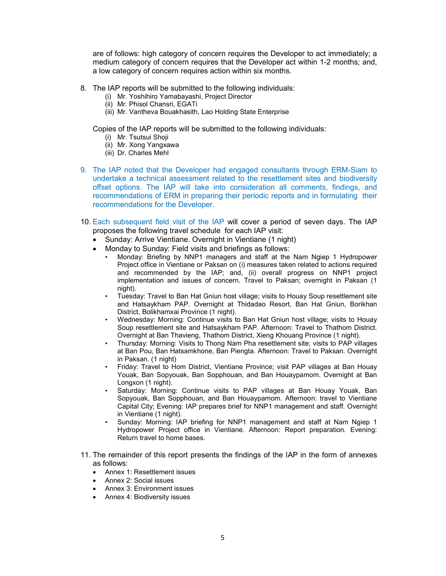are of follows: high category of concern requires the Developer to act immediately; a medium category of concern requires that the Developer act within 1-2 months; and, a low category of concern requires action within six months.

- 8. The IAP reports will be submitted to the following individuals:
	- (i) Mr. Yoshihiro Yamabayashi, Project Director
	- (ii) Mr. Phisol Chansri, EGATi
	- (iii) Mr. Vantheva Bouakhasith, Lao Holding State Enterprise

Copies of the IAP reports will be submitted to the following individuals:

- (i) Mr. Tsutsui Shoji
- (ii) Mr. Xong Yangxawa
- (iii) Dr. Charles Mehl
- 9. The IAP noted that the Developer had engaged consultants through ERM-Siam to undertake a technical assessment related to the resettlement sites and biodiversity offset options. The IAP will take into consideration all comments, findings, and recommendations of ERM in preparing their periodic reports and in formulating their recommendations for the Developer.
- 10. Each subsequent field visit of the IAP will cover a period of seven days. The IAP proposes the following travel schedule for each IAP visit:
	- Sunday: Arrive Vientiane. Overnight in Vientiane (1 night)
	- Monday to Sunday: Field visits and briefings as follows:
		- Monday: Briefing by NNP1 managers and staff at the Nam Ngiep 1 Hydropower Project office in Vientiane or Paksan on (i) measures taken related to actions required and recommended by the IAP; and, (ii) overall progress on NNP1 project implementation and issues of concern. Travel to Paksan; overnight in Paksan (1 night).
		- Tuesday: Travel to Ban Hat Gniun host village; visits to Houay Soup resettlement site and Hatsaykham PAP. Overnight at Thidadao Resort, Ban Hat Gniun, Borikhan District, Bolikhamxai Province (1 night).
		- Wednesday: Morning: Continue visits to Ban Hat Gniun host village; visits to Houay Soup resettlement site and Hatsaykham PAP. Afternoon: Travel to Thathom District. Overnight at Ban Thavieng, Thathom District, Xieng Khouang Province (1 night).
		- Thursday: Morning: Visits to Thong Nam Pha resettlement site; visits to PAP villages at Ban Pou, Ban Hatsamkhone, Ban Piengta. Afternoon: Travel to Paksan. Overnight in Paksan. (1 night)
		- Friday: Travel to Hom District, Vientiane Province; visit PAP villages at Ban Houay Youak, Ban Sopyouak, Ban Sopphouan, and Ban Houaypamom. Overnight at Ban Longxon (1 night).
		- Saturday: Morning: Continue visits to PAP villages at Ban Houay Youak, Ban Sopyouak, Ban Sopphouan, and Ban Houaypamom. Afternoon: travel to Vientiane Capital City; Evening: IAP prepares brief for NNP1 management and staff. Overnight in Vientiane (1 night).
		- Sunday: Morning: IAP briefing for NNP1 management and staff at Nam Ngiep 1 Hydropower Project office in Vientiane. Afternoon: Report preparation. Evening: Return travel to home bases.
- 11. The remainder of this report presents the findings of the IAP in the form of annexes as follows:
	- Annex 1: Resettlement issues
	- Annex 2: Social issues
	- Annex 3: Environment issues
	- Annex 4: Biodiversity issues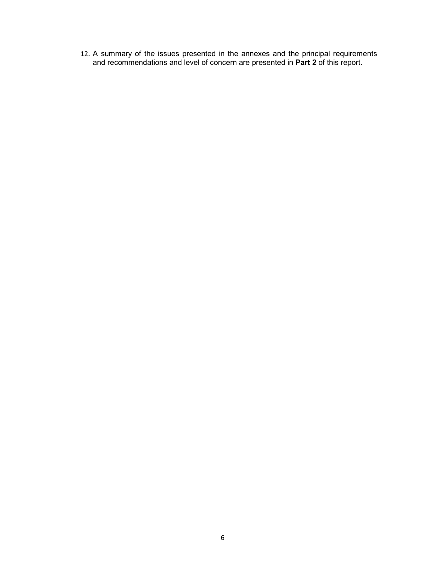12. A summary of the issues presented in the annexes and the principal requirements and recommendations and level of concern are presented in **Part 2** of this report.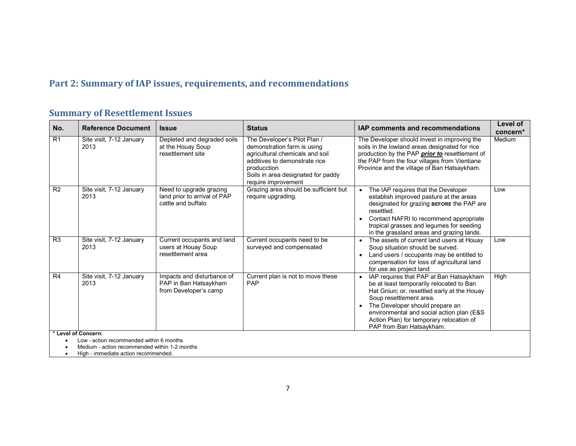## **Part 2: Summary of IAP issues, requirements, and recommendations**

## **Summary of Resettlement Issues**

| No.                 | <b>Reference Document</b>                                                             | <b>Issue</b>                                                                  | <b>Status</b>                                                                                                                                                                                               | IAP comments and recommendations                                                                                                                                                                                                                                                                                                   | <b>Level of</b><br>concern* |  |
|---------------------|---------------------------------------------------------------------------------------|-------------------------------------------------------------------------------|-------------------------------------------------------------------------------------------------------------------------------------------------------------------------------------------------------------|------------------------------------------------------------------------------------------------------------------------------------------------------------------------------------------------------------------------------------------------------------------------------------------------------------------------------------|-----------------------------|--|
| R1                  | Site visit, 7-12 January<br>2013                                                      | Depleted and degraded soils<br>at the Houay Soup<br>resettlement site         | The Developer's Pilot Plan /<br>demonstration farm is using<br>agricultural chemicals and soil<br>additives to demonstrate rice<br>producction<br>Soils in area designated for paddy<br>require improvement | The Developer should invest in improving the<br>soils in the lowland areas designated for rice<br>production by the PAP <b>prior to</b> resettlement of<br>the PAP from the four villages from Vientiane<br>Province and the village of Ban Hatsaykham.                                                                            | Medium                      |  |
| R <sub>2</sub>      | Site visit, 7-12 January<br>2013                                                      | Need to upgrade grazing<br>land prior to arrival of PAP<br>cattle and buffalo | Grazing area should be sufficient but<br>require upgrading.                                                                                                                                                 | The IAP requires that the Developer<br>$\bullet$<br>establish improved pasture at the areas<br>designated for grazing BEFORE the PAP are<br>resettled.<br>Contact NAFRI to recommend appropriate<br>$\bullet$<br>tropical grasses and legumes for seeding<br>in the grassland areas and grazing lands.                             | Low                         |  |
| R <sub>3</sub>      | Site visit, 7-12 January<br>2013                                                      | Current occupants and land<br>users at Houay Soup<br>resettlement area        | Current occupants need to be<br>surveyed and compensated                                                                                                                                                    | The assets of current land users at Houay<br>Soup situation should be surved.<br>Land users / occupants may be entitled to<br>compensation for loss of agricultural land<br>for use as project land                                                                                                                                | Low                         |  |
| R4                  | Site visit, 7-12 January<br>2013                                                      | Impacts and disturbance of<br>PAP in Ban Hatsaykham<br>from Developer's camp  | Current plan is not to move these<br>PAP                                                                                                                                                                    | IAP requires that PAP at Ban Hatsaykham<br>$\bullet$<br>be at least temporarily relocated to Ban<br>Hat Gniun; or, resettled early at the Houay<br>Soup resettlement area.<br>The Developer should prepare an<br>environmental and social action plan (E&S<br>Action Plan) for temporary relocation of<br>PAP from Ban Hatsaykham. | High                        |  |
| * Level of Concern: | Low - action recommended within 6 months                                              |                                                                               |                                                                                                                                                                                                             |                                                                                                                                                                                                                                                                                                                                    |                             |  |
|                     | Medium - action recommended within 1-2 months<br>High - immediate action recommended. |                                                                               |                                                                                                                                                                                                             |                                                                                                                                                                                                                                                                                                                                    |                             |  |

• High - immediate action recommended.

I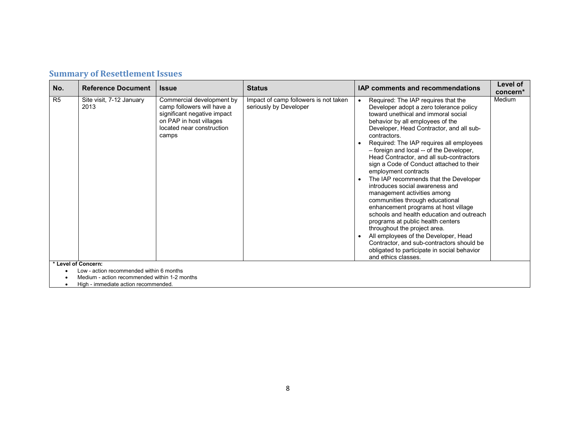|  |  | <b>Summary of Resettlement Issues</b> |
|--|--|---------------------------------------|
|--|--|---------------------------------------|

| No.            | <b>Reference Document</b>                                       | <b>Issue</b>                                                                                                                                            | <b>Status</b>                                                   | <b>IAP comments and recommendations</b>                                                                                                                                                                                                                                                                                                                                                                                                                                                                                                                                                                                                                                                                                                                                                                                                                                                                                    | Level of           |
|----------------|-----------------------------------------------------------------|---------------------------------------------------------------------------------------------------------------------------------------------------------|-----------------------------------------------------------------|----------------------------------------------------------------------------------------------------------------------------------------------------------------------------------------------------------------------------------------------------------------------------------------------------------------------------------------------------------------------------------------------------------------------------------------------------------------------------------------------------------------------------------------------------------------------------------------------------------------------------------------------------------------------------------------------------------------------------------------------------------------------------------------------------------------------------------------------------------------------------------------------------------------------------|--------------------|
| R <sub>5</sub> | Site visit, 7-12 January<br>2013                                | Commercial development by<br>camp followers will have a<br>significant negative impact<br>on PAP in host villages<br>located near construction<br>camps | Impact of camp followers is not taken<br>seriously by Developer | Required: The IAP requires that the<br>$\bullet$<br>Developer adopt a zero tolerance policy<br>toward unethical and immoral social<br>behavior by all employees of the<br>Developer, Head Contractor, and all sub-<br>contractors.<br>Required: The IAP requires all employees<br>- foreign and local -- of the Developer,<br>Head Contractor, and all sub-contractors<br>sign a Code of Conduct attached to their<br>employment contracts<br>The IAP recommends that the Developer<br>$\bullet$<br>introduces social awareness and<br>management activities among<br>communities through educational<br>enhancement programs at host village<br>schools and health education and outreach<br>programs at public health centers<br>throughout the project area.<br>All employees of the Developer, Head<br>Contractor, and sub-contractors should be<br>obligated to participate in social behavior<br>and ethics classes. | concern*<br>Medium |
|                | * Level of Concern:<br>Low - action recommended within 6 months |                                                                                                                                                         |                                                                 |                                                                                                                                                                                                                                                                                                                                                                                                                                                                                                                                                                                                                                                                                                                                                                                                                                                                                                                            |                    |
|                | Modium action recommended within 1.2 months                     |                                                                                                                                                         |                                                                 |                                                                                                                                                                                                                                                                                                                                                                                                                                                                                                                                                                                                                                                                                                                                                                                                                                                                                                                            |                    |

• Medium - action recommended within 1-2 months • High - immediate action recommended.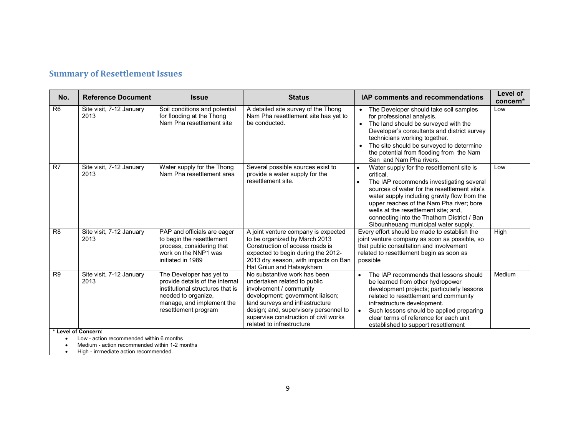|  |  | <b>Summary of Resettlement Issues</b> |
|--|--|---------------------------------------|
|--|--|---------------------------------------|

| No.            | <b>Reference Document</b>                                                                                                                                | <b>Issue</b>                                                                                                                                                                | <b>Status</b>                                                                                                                                                                                                                                                                 | IAP comments and recommendations                                                                                                                                                                                                                                                                                                                                                                       | Level of<br>concern* |
|----------------|----------------------------------------------------------------------------------------------------------------------------------------------------------|-----------------------------------------------------------------------------------------------------------------------------------------------------------------------------|-------------------------------------------------------------------------------------------------------------------------------------------------------------------------------------------------------------------------------------------------------------------------------|--------------------------------------------------------------------------------------------------------------------------------------------------------------------------------------------------------------------------------------------------------------------------------------------------------------------------------------------------------------------------------------------------------|----------------------|
| R <sub>6</sub> | Site visit, 7-12 January<br>2013                                                                                                                         | Soil conditions and potential<br>for flooding at the Thong<br>Nam Pha resettlement site                                                                                     | A detailed site survey of the Thong<br>Nam Pha resettlement site has yet to<br>be conducted.                                                                                                                                                                                  | • The Developer should take soil samples<br>for professional analysis.<br>• The land should be surveyed with the<br>Developer's consultants and district survey<br>technicians working together.<br>The site should be surveyed to determine<br>the potential from flooding from the Nam<br>San and Nam Pha rivers.                                                                                    | Low                  |
| R <sub>7</sub> | Site visit, 7-12 January<br>2013                                                                                                                         | Water supply for the Thong<br>Nam Pha resettlement area                                                                                                                     | Several possible sources exist to<br>provide a water supply for the<br>resettlement site.                                                                                                                                                                                     | Water supply for the resettlement site is<br>$\bullet$<br>critical.<br>The IAP recommends investigating several<br>$\bullet$<br>sources of water for the resettlement site's<br>water supply including gravity flow from the<br>upper reaches of the Nam Pha river; bore<br>wells at the resettlement site; and,<br>connecting into the Thathom District / Ban<br>Sibounheuang municipal water supply. | Low                  |
| R <sub>8</sub> | Site visit, 7-12 January<br>2013                                                                                                                         | PAP and officials are eager<br>to begin the resettlement<br>process, considering that<br>work on the NNP1 was<br>initiated in 1989                                          | A joint venture company is expected<br>to be organized by March 2013<br>Construction of access roads is<br>expected to begin during the 2012-<br>2013 dry season, with impacts on Ban<br>Hat Gniun and Hatsaykham                                                             | Every effort should be made to establish the<br>joint venture company as soon as possible, so<br>that public consultation and involvement<br>related to resettlement begin as soon as<br>possible                                                                                                                                                                                                      | High                 |
| R <sub>9</sub> | Site visit, 7-12 January<br>2013                                                                                                                         | The Developer has yet to<br>provide details of the internal<br>institutional structures that is<br>needed to organize.<br>manage, and implement the<br>resettlement program | No substantive work has been<br>undertaken related to public<br>involvement / community<br>development; government liaison;<br>land surveys and infrastructure<br>design; and, supervisory personnel to<br>supervise construction of civil works<br>related to infrastructure | The IAP recommends that lessons should<br>$\bullet$<br>be learned from other hydropower<br>development projects; particularly lessons<br>related to resettlement and community<br>infrastructure development.<br>Such lessons should be applied preparing<br>$\bullet$<br>clear terms of reference for each unit<br>established to support resettlement                                                | Medium               |
|                | * Level of Concern:<br>Low - action recommended within 6 months<br>Medium - action recommended within 1-2 months<br>High - immediate action recommended. |                                                                                                                                                                             |                                                                                                                                                                                                                                                                               |                                                                                                                                                                                                                                                                                                                                                                                                        |                      |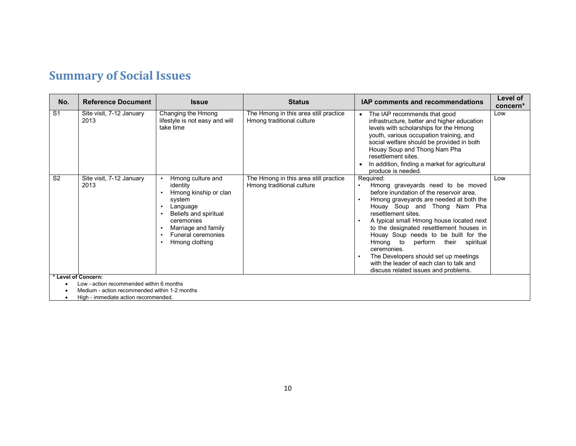# **Summary of Social Issues**

Ī

| No.            | <b>Reference Document</b>                                                                 | <b>Issue</b>                                                                                                                                                                                                              | <b>Status</b>                                                      | <b>IAP comments and recommendations</b>                                                                                                                                                                                                                                                                                                                                                                                                                                                                         | Level of<br>concern* |
|----------------|-------------------------------------------------------------------------------------------|---------------------------------------------------------------------------------------------------------------------------------------------------------------------------------------------------------------------------|--------------------------------------------------------------------|-----------------------------------------------------------------------------------------------------------------------------------------------------------------------------------------------------------------------------------------------------------------------------------------------------------------------------------------------------------------------------------------------------------------------------------------------------------------------------------------------------------------|----------------------|
| S <sub>1</sub> | Site visit, 7-12 January<br>2013                                                          | Changing the Hmong<br>lifestyle is not easy and will<br>take time                                                                                                                                                         | The Hmong in this area still practice<br>Hmong traditional culture | The IAP recommends that good<br>$\bullet$<br>infrastructure, better and higher education<br>levels with scholarships for the Hmong<br>youth, various occupation training, and<br>social welfare should be provided in both<br>Houay Soup and Thong Nam Pha<br>resettlement sites.<br>In addition, finding a market for agricultural<br>$\bullet$<br>produce is needed.                                                                                                                                          | Low                  |
| S <sub>2</sub> | Site visit, 7-12 January<br>2013                                                          | Hmong culture and<br>identity<br>Hmong kinship or clan<br>system<br>Language<br>$\bullet$<br>Beliefs and spiritual<br>$\bullet$<br>ceremonies<br>Marriage and family<br>Funeral ceremonies<br>Hmong clothing<br>$\bullet$ | The Hmong in this area still practice<br>Hmong traditional culture | Required:<br>Hmong graveyards need to be moved<br>before inundation of the reservoir area.<br>Hmong graveyards are needed at both the<br>Houay Soup and Thong Nam Pha<br>resettlement sites.<br>A typical small Hmong house located next<br>to the designated resettlement houses in<br>Houay Soup needs to be built for the<br>Hmong to<br>perform their spiritual<br>ceremonies.<br>The Developers should set up meetings<br>with the leader of each clan to talk and<br>discuss related issues and problems. | Low                  |
|                | * Level of Concern:                                                                       |                                                                                                                                                                                                                           |                                                                    |                                                                                                                                                                                                                                                                                                                                                                                                                                                                                                                 |                      |
|                | Low - action recommended within 6 months<br>Medium - action recommended within 1-2 months |                                                                                                                                                                                                                           |                                                                    |                                                                                                                                                                                                                                                                                                                                                                                                                                                                                                                 |                      |
|                | High - immediate action recommended.                                                      |                                                                                                                                                                                                                           |                                                                    |                                                                                                                                                                                                                                                                                                                                                                                                                                                                                                                 |                      |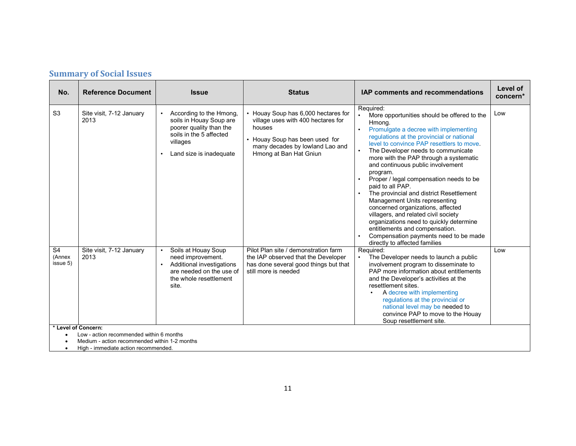| No.                                  | <b>Reference Document</b>                                                                                        | <b>Issue</b>                                                                                                                                                 | <b>Status</b>                                                                                                                                                                      | <b>IAP comments and recommendations</b>                                                                                                                                                                                                                                                                                                                                                                                                                                                                                                                                                                                                                                                                                                         | Level of<br>concern* |
|--------------------------------------|------------------------------------------------------------------------------------------------------------------|--------------------------------------------------------------------------------------------------------------------------------------------------------------|------------------------------------------------------------------------------------------------------------------------------------------------------------------------------------|-------------------------------------------------------------------------------------------------------------------------------------------------------------------------------------------------------------------------------------------------------------------------------------------------------------------------------------------------------------------------------------------------------------------------------------------------------------------------------------------------------------------------------------------------------------------------------------------------------------------------------------------------------------------------------------------------------------------------------------------------|----------------------|
| S <sub>3</sub>                       | Site visit, 7-12 January<br>2013                                                                                 | According to the Hmong,<br>soils in Houay Soup are<br>poorer quality than the<br>soils in the 5 affected<br>villages<br>Land size is inadequate<br>$\bullet$ | • Houay Soup has 6,000 hectares for<br>village uses with 400 hectares for<br>houses<br>• Houay Soup has been used for<br>many decades by lowland Lao and<br>Hmong at Ban Hat Gniun | Required:<br>More opportunities should be offered to the<br>Hmong.<br>Promulgate a decree with implementing<br>$\bullet$<br>regulations at the provincial or national<br>level to convince PAP resettlers to move<br>$\bullet$<br>The Developer needs to communicate<br>more with the PAP through a systematic<br>and continuous public involvement<br>program.<br>Proper / legal compensation needs to be<br>paid to all PAP.<br>The provincial and district Resettlement<br>Management Units representing<br>concerned organizations, affected<br>villagers, and related civil society<br>organizations need to quickly determine<br>entitlements and compensation.<br>Compensation payments need to be made<br>directly to affected families | Low                  |
| S <sub>4</sub><br>(Annex<br>issue 5) | Site visit, 7-12 January<br>2013                                                                                 | Soils at Houay Soup<br>need improvement.<br>Additional investigations<br>are needed on the use of<br>the whole resettlement<br>site.                         | Pilot Plan site / demonstration farm<br>the IAP observed that the Developer<br>has done several good things but that<br>still more is needed                                       | Required:<br>The Developer needs to launch a public<br>involvement program to disseminate to<br>PAP more information about entitlements<br>and the Developer's activities at the<br>resettlement sites.<br>A decree with implementing<br>regulations at the provincial or<br>national level may be needed to<br>convince PAP to move to the Houay<br>Soup resettlement site.                                                                                                                                                                                                                                                                                                                                                                    | Low                  |
|                                      | * Level of Concern:<br>Low - action recommended within 6 months<br>Medium - action recommended within 1-2 months |                                                                                                                                                              |                                                                                                                                                                                    |                                                                                                                                                                                                                                                                                                                                                                                                                                                                                                                                                                                                                                                                                                                                                 |                      |

• High - immediate action recommended.

Ī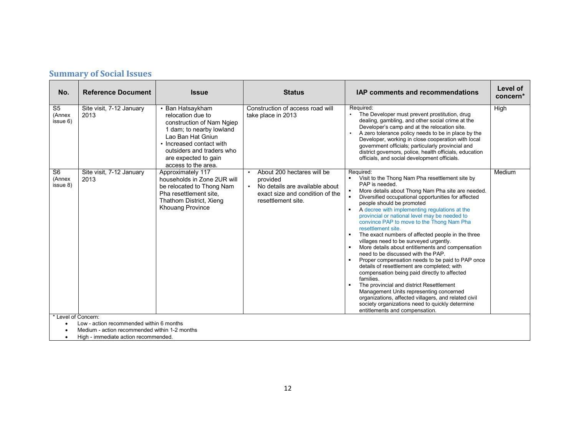| <b>Summary of Social Issues</b> |  |  |
|---------------------------------|--|--|
|---------------------------------|--|--|

| No.                                  | <b>Reference Document</b>                                                                                                      | <b>Issue</b>                                                                                                                                                                                                                | <b>Status</b>                                                                                                                                  | <b>IAP comments and recommendations</b>                                                                                                                                                                                                                                                                                                                                                                                                                                                                                                                                                                                                                                                                                                                                                                                                                                                                                                                                                        | Level of<br>concern* |
|--------------------------------------|--------------------------------------------------------------------------------------------------------------------------------|-----------------------------------------------------------------------------------------------------------------------------------------------------------------------------------------------------------------------------|------------------------------------------------------------------------------------------------------------------------------------------------|------------------------------------------------------------------------------------------------------------------------------------------------------------------------------------------------------------------------------------------------------------------------------------------------------------------------------------------------------------------------------------------------------------------------------------------------------------------------------------------------------------------------------------------------------------------------------------------------------------------------------------------------------------------------------------------------------------------------------------------------------------------------------------------------------------------------------------------------------------------------------------------------------------------------------------------------------------------------------------------------|----------------------|
| S <sub>5</sub><br>(Annex<br>issue 6) | Site visit, 7-12 January<br>2013                                                                                               | • Ban Hatsaykham<br>relocation due to<br>construction of Nam Ngiep<br>1 dam; to nearby lowland<br>Lao Ban Hat Gniun<br>• Increased contact with<br>outsiders and traders who<br>are expected to gain<br>access to the area. | Construction of access road will<br>take place in 2013                                                                                         | Required:<br>The Developer must prevent prostitution, drug<br>$\bullet$<br>dealing, gambling, and other social crime at the<br>Developer's camp and at the relocation site.<br>A zero tolerance policy needs to be in place by the<br>Developer, working in close cooperation with local<br>government officials; particularly provincial and<br>district governors, police, health officials, education<br>officials, and social development officials.                                                                                                                                                                                                                                                                                                                                                                                                                                                                                                                                       | High                 |
| S <sub>6</sub><br>(Annex<br>issue 8) | Site visit, 7-12 January<br>2013                                                                                               | Approximately 117<br>households in Zone 2UR will<br>be relocated to Thong Nam<br>Pha resettlement site.<br>Thathom District, Xieng<br>Khouang Province                                                                      | About 200 hectares will be<br>provided<br>No details are available about<br>$\bullet$<br>exact size and condition of the<br>resettlement site. | Required:<br>Visit to the Thong Nam Pha resettlement site by<br>PAP is needed.<br>More details about Thong Nam Pha site are needed.<br>Diversified occupational opportunities for affected<br>people should be promoted<br>A decree with implementing regulations at the<br>٠<br>provincial or national level may be needed to<br>convince PAP to move to the Thong Nam Pha<br>resettlement site.<br>The exact numbers of affected people in the three<br>villages need to be surveyed urgently.<br>More details about entitlements and compensation<br>need to be discussed with the PAP.<br>Proper compensation needs to be paid to PAP once<br>details of resettlement are completed; with<br>compensation being paid directly to affected<br>families.<br>The provincial and district Resettlement<br>Management Units representing concerned<br>organizations, affected villagers, and related civil<br>society organizations need to quickly determine<br>entitlements and compensation. | Medium               |
| * Level of Concern:                  | Low - action recommended within 6 months<br>Medium - action recommended within 1-2 months<br>High immediate action recommended |                                                                                                                                                                                                                             |                                                                                                                                                |                                                                                                                                                                                                                                                                                                                                                                                                                                                                                                                                                                                                                                                                                                                                                                                                                                                                                                                                                                                                |                      |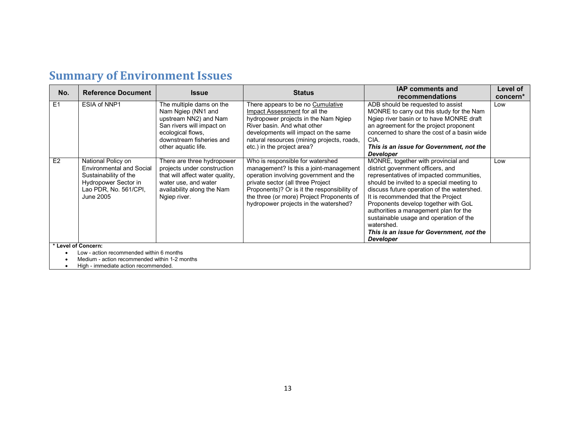## **Summary of Environment Issues**

| No. | <b>Reference Document</b>                | <b>Issue</b>                    | <b>Status</b>                               | <b>IAP comments and</b>                              | Level of |  |  |
|-----|------------------------------------------|---------------------------------|---------------------------------------------|------------------------------------------------------|----------|--|--|
|     |                                          |                                 |                                             | recommendations                                      | concern* |  |  |
| E1  | ESIA of NNP1                             | The multiple dams on the        | There appears to be no Cumulative           | ADB should be requested to assist                    | Low      |  |  |
|     |                                          | Nam Ngiep (NN1 and              | Impact Assessment for all the               | MONRE to carry out this study for the Nam            |          |  |  |
|     |                                          | upstream NN2) and Nam           | hydropower projects in the Nam Ngiep        | Ngiep river basin or to have MONRE draft             |          |  |  |
|     |                                          | San rivers will impact on       | River basin. And what other                 | an agreement for the project proponent               |          |  |  |
|     |                                          | ecological flows.               | developments will impact on the same        | concerned to share the cost of a basin wide          |          |  |  |
|     |                                          | downstream fisheries and        | natural resources (mining projects, roads,  | CIA.                                                 |          |  |  |
|     |                                          | other aquatic life.             | etc.) in the project area?                  | This is an issue for Government, not the             |          |  |  |
|     |                                          |                                 |                                             | <b>Developer</b>                                     |          |  |  |
| E2  | National Policy on                       | There are three hydropower      | Who is responsible for watershed            | MONRE, together with provincial and                  | Low      |  |  |
|     | <b>Environmental and Social</b>          | projects under construction     | management? Is this a joint-management      | district government officers, and                    |          |  |  |
|     | Sustainability of the                    | that will affect water quality, | operation involving government and the      | representatives of impacted communities.             |          |  |  |
|     | Hydropower Sector in                     | water use, and water            | private sector (all three Project           | should be invited to a special meeting to            |          |  |  |
|     | Lao PDR, No. 561/CPI,                    | availability along the Nam      | Proponents)? Or is it the responsibility of | discuss future operation of the watershed.           |          |  |  |
|     | June 2005                                | Ngiep river.                    | the three (or more) Project Proponents of   | It is recommended that the Project                   |          |  |  |
|     |                                          |                                 | hydropower projects in the watershed?       | Proponents develop together with GoL                 |          |  |  |
|     |                                          |                                 |                                             | authorities a management plan for the                |          |  |  |
|     |                                          |                                 |                                             | sustainable usage and operation of the<br>watershed. |          |  |  |
|     |                                          |                                 |                                             | This is an issue for Government, not the             |          |  |  |
|     |                                          |                                 |                                             | <b>Developer</b>                                     |          |  |  |
|     | * Level of Concern:                      |                                 |                                             |                                                      |          |  |  |
|     | Low - action recommended within 6 months |                                 |                                             |                                                      |          |  |  |
|     |                                          |                                 |                                             |                                                      |          |  |  |

• Medium - action recommended within 1-2 months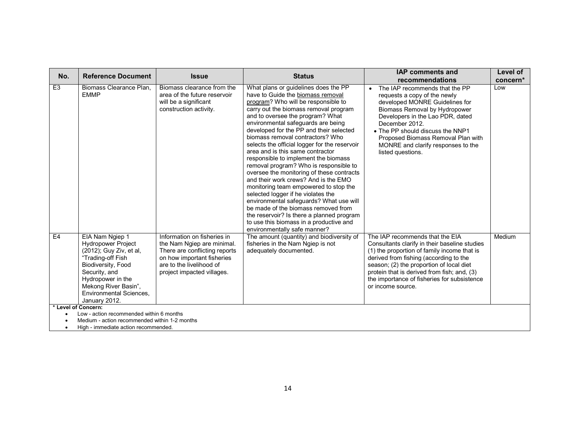| No.                                                             | <b>Reference Document</b>                                                                                                                                                                                                    | <b>Issue</b>                                                                                                                                                                       | <b>Status</b>                                                                                                                                                                                                                                                                                                                                                                                                                                                                                                                                                                                                                                                                                                                                                                                                                                                           | <b>IAP comments and</b><br>recommendations                                                                                                                                                                                                                                                                                                | Level of<br>concern* |  |
|-----------------------------------------------------------------|------------------------------------------------------------------------------------------------------------------------------------------------------------------------------------------------------------------------------|------------------------------------------------------------------------------------------------------------------------------------------------------------------------------------|-------------------------------------------------------------------------------------------------------------------------------------------------------------------------------------------------------------------------------------------------------------------------------------------------------------------------------------------------------------------------------------------------------------------------------------------------------------------------------------------------------------------------------------------------------------------------------------------------------------------------------------------------------------------------------------------------------------------------------------------------------------------------------------------------------------------------------------------------------------------------|-------------------------------------------------------------------------------------------------------------------------------------------------------------------------------------------------------------------------------------------------------------------------------------------------------------------------------------------|----------------------|--|
| E <sub>3</sub>                                                  | Biomass Clearance Plan.<br><b>EMMP</b>                                                                                                                                                                                       | Biomass clearance from the<br>area of the future reservoir<br>will be a significant<br>construction activity.                                                                      | What plans or guidelines does the PP<br>have to Guide the biomass removal<br>program? Who will be responsible to<br>carry out the biomass removal program<br>and to oversee the program? What<br>environmental safeguards are being<br>developed for the PP and their selected<br>biomass removal contractors? Who<br>selects the official logger for the reservoir<br>area and is this same contractor<br>responsible to implement the biomass<br>removal program? Who is responsible to<br>oversee the monitoring of these contracts<br>and their work crews? And is the EMO<br>monitoring team empowered to stop the<br>selected logger if he violates the<br>environmental safeguards? What use will<br>be made of the biomass removed from<br>the reservoir? Is there a planned program<br>to use this biomass in a productive and<br>environmentally safe manner? | The IAP recommends that the PP<br>$\bullet$<br>requests a copy of the newly<br>developed MONRE Guidelines for<br>Biomass Removal by Hydropower<br>Developers in the Lao PDR, dated<br>December 2012.<br>• The PP should discuss the NNP1<br>Proposed Biomass Removal Plan with<br>MONRE and clarify responses to the<br>listed questions. | Low                  |  |
| E4                                                              | EIA Nam Ngiep 1<br>Hydropower Project<br>(2012); Guy Ziv, et al,<br>"Trading-off Fish<br>Biodiversity, Food<br>Security, and<br>Hydropower in the<br>Mekong River Basin",<br><b>Environmental Sciences,</b><br>January 2012. | Information on fisheries in<br>the Nam Ngiep are minimal.<br>There are conflicting reports<br>on how important fisheries<br>are to the livelihood of<br>project impacted villages. | The amount (quantity) and biodiversity of<br>fisheries in the Nam Ngiep is not<br>adequately documented.                                                                                                                                                                                                                                                                                                                                                                                                                                                                                                                                                                                                                                                                                                                                                                | The IAP recommends that the EIA<br>Consultants clarify in their baseline studies<br>(1) the proportion of family income that is<br>derived from fishing (according to the<br>season; (2) the proportion of local diet<br>protein that is derived from fish; and, (3)<br>the importance of fisheries for subsistence<br>or income source.  | Medium               |  |
| * Level of Concern:<br>Low - action recommended within 6 months |                                                                                                                                                                                                                              |                                                                                                                                                                                    |                                                                                                                                                                                                                                                                                                                                                                                                                                                                                                                                                                                                                                                                                                                                                                                                                                                                         |                                                                                                                                                                                                                                                                                                                                           |                      |  |
|                                                                 | Medium - action recommended within 1-2 months                                                                                                                                                                                |                                                                                                                                                                                    |                                                                                                                                                                                                                                                                                                                                                                                                                                                                                                                                                                                                                                                                                                                                                                                                                                                                         |                                                                                                                                                                                                                                                                                                                                           |                      |  |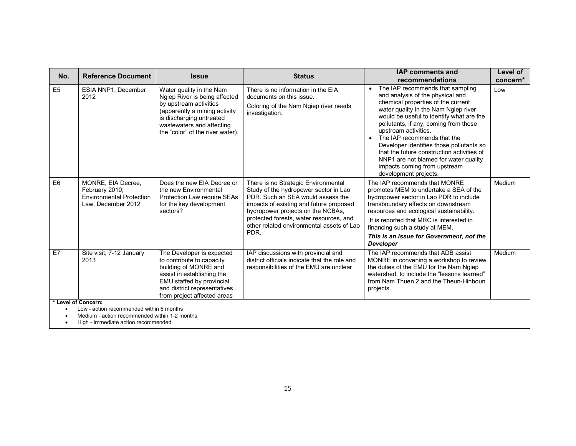| No.                                                                                                              | <b>Reference Document</b>                                                                     | <b>Issue</b>                                                                                                                                                                                                      | <b>Status</b>                                                                                                                                                                                                                                                                                     | <b>IAP comments and</b><br>recommendations                                                                                                                                                                                                                                                                                                                                                                                                                                                              | Level of<br>concern* |  |
|------------------------------------------------------------------------------------------------------------------|-----------------------------------------------------------------------------------------------|-------------------------------------------------------------------------------------------------------------------------------------------------------------------------------------------------------------------|---------------------------------------------------------------------------------------------------------------------------------------------------------------------------------------------------------------------------------------------------------------------------------------------------|---------------------------------------------------------------------------------------------------------------------------------------------------------------------------------------------------------------------------------------------------------------------------------------------------------------------------------------------------------------------------------------------------------------------------------------------------------------------------------------------------------|----------------------|--|
| E <sub>5</sub>                                                                                                   | ESIA NNP1, December<br>2012                                                                   | Water quality in the Nam<br>Ngiep River is being affected<br>by upstream activities<br>(apparently a mining activity<br>is discharging untreated<br>wastewaters and affecting<br>the "color" of the river water). | There is no information in the EIA<br>documents on this issue.<br>Coloring of the Nam Ngiep river needs<br>investigation.                                                                                                                                                                         | The IAP recommends that sampling<br>$\bullet$<br>and analysis of the physical and<br>chemical properties of the current<br>water quality in the Nam Ngiep river<br>would be useful to identify what are the<br>pollutants, if any, coming from these<br>upstream activities.<br>The IAP recommends that the<br>Developer identifies those pollutants so<br>that the future construction activities of<br>NNP1 are not blamed for water quality<br>impacts coming from upstream<br>development projects. | Low                  |  |
| E <sub>6</sub>                                                                                                   | MONRE, EIA Decree,<br>February 2010;<br><b>Environmental Protection</b><br>Law. December 2012 | Does the new EIA Decree or<br>the new Environmental<br>Protection Law require SEAs<br>for the key development<br>sectors?                                                                                         | There is no Strategic Environmental<br>Study of the hydropower sector in Lao<br>PDR. Such an SEA would assess the<br>impacts of existing and future proposed<br>hydropower projects on the NCBAs,<br>protected forests, water resources, and<br>other related environmental assets of Lao<br>PDR. | The IAP recommends that MONRE<br>promotes MEM to undertake a SEA of the<br>hydropower sector in Lao PDR to include<br>transboundary effects on downstream<br>resources and ecological sustainability.<br>It is reported that MRC is interested in<br>financing such a study at MEM.<br>This is an issue for Government, not the<br><b>Developer</b>                                                                                                                                                     | Medium               |  |
| E7                                                                                                               | Site visit, 7-12 January<br>2013                                                              | The Developer is expected<br>to contribute to capacity<br>building of MONRE and<br>assist in establishing the<br>EMU staffed by provincial<br>and district representatives<br>from project affected areas         | IAP discussions with provincial and<br>district officials indicate that the role and<br>responsibilities of the EMU are unclear                                                                                                                                                                   | The IAP recommends that ADB assist<br>MONRE in convening a workshop to review<br>the duties of the EMU for the Nam Ngiep<br>watershed, to include the "lessons learned"<br>from Nam Thuen 2 and the Theun-Hinboun<br>projects.                                                                                                                                                                                                                                                                          | Medium               |  |
| * Level of Concern:<br>Low - action recommended within 6 months<br>Medium - action recommended within 1-2 months |                                                                                               |                                                                                                                                                                                                                   |                                                                                                                                                                                                                                                                                                   |                                                                                                                                                                                                                                                                                                                                                                                                                                                                                                         |                      |  |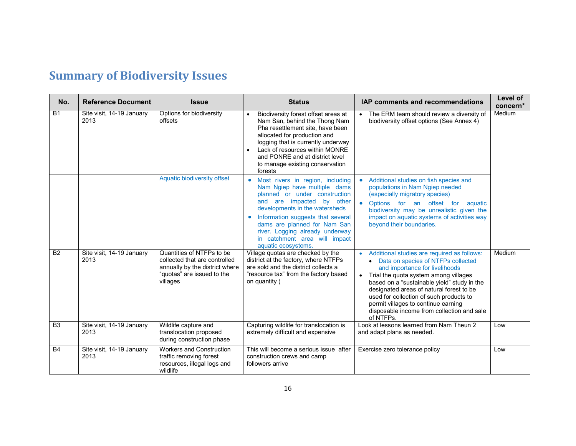# **Summary of Biodiversity Issues**

| No.            | <b>Reference Document</b>         | <b>Issue</b>                                                                                                                           | <b>Status</b>                                                                                                                                                                                                                                                                                                                    | <b>IAP comments and recommendations</b>                                                                                                                                                                                                                                                                                                                                                                | Level of<br>concern* |
|----------------|-----------------------------------|----------------------------------------------------------------------------------------------------------------------------------------|----------------------------------------------------------------------------------------------------------------------------------------------------------------------------------------------------------------------------------------------------------------------------------------------------------------------------------|--------------------------------------------------------------------------------------------------------------------------------------------------------------------------------------------------------------------------------------------------------------------------------------------------------------------------------------------------------------------------------------------------------|----------------------|
| <b>B1</b>      | Site visit, 14-19 January<br>2013 | Options for biodiversity<br>offsets                                                                                                    | Biodiversity forest offset areas at<br>$\bullet$<br>Nam San, behind the Thong Nam<br>Pha resettlement site, have been<br>allocated for production and<br>logging that is currently underway<br>Lack of resources within MONRE<br>and PONRE and at district level<br>to manage existing conservation<br>forests                   | • The ERM team should review a diversity of<br>biodiversity offset options (See Annex 4)                                                                                                                                                                                                                                                                                                               | Medium               |
|                |                                   | Aquatic biodiversity offset                                                                                                            | Most rivers in region, including<br>Nam Ngiep have multiple dams<br>planned or under construction<br>and are impacted by other<br>developments in the watersheds<br>Information suggests that several<br>dams are planned for Nam San<br>river. Logging already underway<br>in catchment area will impact<br>aquatic ecosystems. | Additional studies on fish species and<br>$\bullet$<br>populations in Nam Ngiep needed<br>(especially migratory species)<br>$\bullet$<br>Options for an offset for aquatic<br>biodiversity may be unrealistic given the<br>impact on aquatic systems of activities way<br>beyond their boundaries.                                                                                                     |                      |
| <b>B2</b>      | Site visit, 14-19 January<br>2013 | Quantities of NTFPs to be<br>collected that are controlled<br>annually by the district where<br>"quotas" are issued to the<br>villages | Village quotas are checked by the<br>district at the factory, where NTFPs<br>are sold and the district collects a<br>"resource tax" from the factory based<br>on quantity (                                                                                                                                                      | Additional studies are required as follows:<br>• Data on species of NTFPs collected<br>and importance for livelihoods<br>Trial the quota system among villages<br>based on a "sustainable yield" study in the<br>designated areas of natural forest to be<br>used for collection of such products to<br>permit villages to continue earning<br>disposable income from collection and sale<br>of NTFPs. | Medium               |
| B <sub>3</sub> | Site visit, 14-19 January<br>2013 | Wildlife capture and<br>translocation proposed<br>during construction phase                                                            | Capturing wildlife for translocation is<br>extremely difficult and expensive                                                                                                                                                                                                                                                     | Look at lessons learned from Nam Theun 2<br>and adapt plans as needed.                                                                                                                                                                                                                                                                                                                                 | Low                  |
| <b>B4</b>      | Site visit, 14-19 January<br>2013 | <b>Workers and Construction</b><br>traffic removing forest<br>resources, illegal logs and<br>wildlife                                  | This will become a serious issue after<br>construction crews and camp<br>followers arrive                                                                                                                                                                                                                                        | Exercise zero tolerance policy                                                                                                                                                                                                                                                                                                                                                                         | Low                  |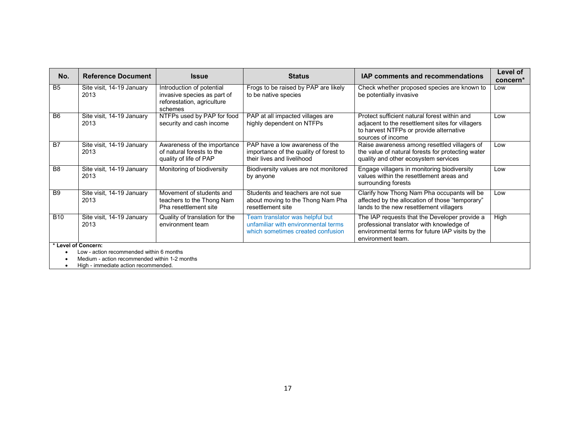| No.                                      | <b>Reference Document</b>         | <b>Issue</b>                                                                                      | <b>Status</b>                                                                                               | <b>IAP comments and recommendations</b>                                                                                                                             | Level of<br>concern* |  |
|------------------------------------------|-----------------------------------|---------------------------------------------------------------------------------------------------|-------------------------------------------------------------------------------------------------------------|---------------------------------------------------------------------------------------------------------------------------------------------------------------------|----------------------|--|
| <b>B5</b>                                | Site visit, 14-19 January<br>2013 | Introduction of potential<br>invasive species as part of<br>reforestation, agriculture<br>schemes | Frogs to be raised by PAP are likely<br>to be native species                                                | Check whether proposed species are known to<br>be potentially invasive                                                                                              | Low                  |  |
| B <sub>6</sub>                           | Site visit, 14-19 January<br>2013 | NTFPs used by PAP for food<br>security and cash income                                            | PAP at all impacted villages are<br>highly dependent on NTFPs                                               | Protect sufficient natural forest within and<br>adjacent to the resettlement sites for villagers<br>to harvest NTFPs or provide alternative<br>sources of income    | Low                  |  |
| <b>B7</b>                                | Site visit, 14-19 January<br>2013 | Awareness of the importance<br>of natural forests to the<br>quality of life of PAP                | PAP have a low awareness of the<br>importance of the quality of forest to<br>their lives and livelihood     | Raise awareness among resettled villagers of<br>the value of natural forests for protecting water<br>quality and other ecosystem services                           | Low                  |  |
| B <sub>8</sub>                           | Site visit, 14-19 January<br>2013 | Monitoring of biodiversity                                                                        | Biodiversity values are not monitored<br>by anyone                                                          | Engage villagers in monitoring biodiversity<br>values within the resettlement areas and<br>surrounding forests                                                      | Low                  |  |
| B <sub>9</sub>                           | Site visit, 14-19 January<br>2013 | Movement of students and<br>teachers to the Thong Nam<br>Pha resettlement site                    | Students and teachers are not sue<br>about moving to the Thong Nam Pha<br>resettlement site                 | Clarify how Thong Nam Pha occupants will be<br>affected by the allocation of those "temporary"<br>lands to the new resettlement villagers                           | Low                  |  |
| <b>B10</b>                               | Site visit, 14-19 January<br>2013 | Quality of translation for the<br>environment team                                                | Team translator was helpful but<br>unfamiliar with environmental terms<br>which sometimes created confusion | The IAP requests that the Developer provide a<br>professional translator with knowledge of<br>environmental terms for future IAP visits by the<br>environment team. | High                 |  |
| * Level of Concern:                      |                                   |                                                                                                   |                                                                                                             |                                                                                                                                                                     |                      |  |
| Low - action recommended within 6 months |                                   |                                                                                                   |                                                                                                             |                                                                                                                                                                     |                      |  |

• Medium - action recommended within 1-2 months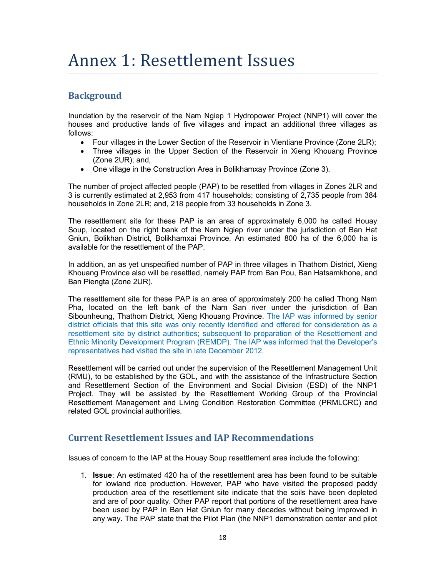# Annex 1: Resettlement Issues

## **Background**

Inundation by the reservoir of the Nam Ngiep 1 Hydropower Project (NNP1) will cover the houses and productive lands of five villages and impact an additional three villages as follows:

- Four villages in the Lower Section of the Reservoir in Vientiane Province (Zone 2LR);
- Three villages in the Upper Section of the Reservoir in Xieng Khouang Province (Zone 2UR); and,
- One village in the Construction Area in Bolikhamxay Province (Zone 3).

The number of project affected people (PAP) to be resettled from villages in Zones 2LR and 3 is currently estimated at 2,953 from 417 households; consisting of 2,735 people from 384 households in Zone 2LR; and, 218 people from 33 households in Zone 3.

The resettlement site for these PAP is an area of approximately 6,000 ha called Houay Soup, located on the right bank of the Nam Ngiep river under the jurisdiction of Ban Hat Gniun, Bolikhan District, Bolikhamxai Province. An estimated 800 ha of the 6,000 ha is available for the resettlement of the PAP.

In addition, an as yet unspecified number of PAP in three villages in Thathom District, Xieng Khouang Province also will be resettled, namely PAP from Ban Pou, Ban Hatsamkhone, and Ban Piengta (Zone 2UR).

The resettlement site for these PAP is an area of approximately 200 ha called Thong Nam Pha, located on the left bank of the Nam San river under the jurisdiction of Ban Sibounheung, Thathom District, Xieng Khouang Province. The IAP was informed by senior district officials that this site was only recently identified and offered for consideration as a resettlement site by district authorities; subsequent to preparation of the Resettlement and Ethnic Minority Development Program (REMDP). The IAP was informed that the Developer's representatives had visited the site in late December 2012.

Resettlement will be carried out under the supervision of the Resettlement Management Unit (RMU), to be established by the GOL, and with the assistance of the Infrastructure Section and Resettlement Section of the Environment and Social Division (ESD) of the NNP1 Project. They will be assisted by the Resettlement Working Group of the Provincial Resettlement Management and Living Condition Restoration Committee (PRMLCRC) and related GOL provincial authorities.

## **Current Resettlement Issues and IAP Recommendations**

Issues of concern to the IAP at the Houay Soup resettlement area include the following:

1. **Issue**: An estimated 420 ha of the resettlement area has been found to be suitable for lowland rice production. However, PAP who have visited the proposed paddy production area of the resettlement site indicate that the soils have been depleted and are of poor quality. Other PAP report that portions of the resettlement area have been used by PAP in Ban Hat Gniun for many decades without being improved in any way. The PAP state that the Pilot Plan (the NNP1 demonstration center and pilot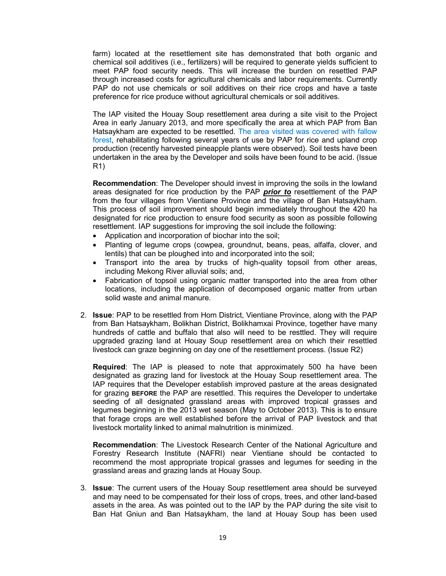farm) located at the resettlement site has demonstrated that both organic and chemical soil additives (i.e., fertilizers) will be required to generate yields sufficient to meet PAP food security needs. This will increase the burden on resettled PAP through increased costs for agricultural chemicals and labor requirements. Currently PAP do not use chemicals or soil additives on their rice crops and have a taste preference for rice produce without agricultural chemicals or soil additives.

The IAP visited the Houay Soup resettlement area during a site visit to the Project Area in early January 2013, and more specifically the area at which PAP from Ban Hatsaykham are expected to be resettled. The area visited was covered with fallow forest, rehabilitating following several years of use by PAP for rice and upland crop production (recently harvested pineapple plants were observed). Soil tests have been undertaken in the area by the Developer and soils have been found to be acid. (Issue R1)

**Recommendation**: The Developer should invest in improving the soils in the lowland areas designated for rice production by the PAP *prior to* resettlement of the PAP from the four villages from Vientiane Province and the village of Ban Hatsaykham. This process of soil improvement should begin immediately throughout the 420 ha designated for rice production to ensure food security as soon as possible following resettlement. IAP suggestions for improving the soil include the following:

- Application and incorporation of biochar into the soil;
- Planting of legume crops (cowpea, groundnut, beans, peas, alfalfa, clover, and lentils) that can be ploughed into and incorporated into the soil;
- Transport into the area by trucks of high-quality topsoil from other areas, including Mekong River alluvial soils; and,
- Fabrication of topsoil using organic matter transported into the area from other locations, including the application of decomposed organic matter from urban solid waste and animal manure.
- 2. **Issue**: PAP to be resettled from Hom District, Vientiane Province, along with the PAP from Ban Hatsaykham, Bolikhan District, Bolikhamxai Province, together have many hundreds of cattle and buffalo that also will need to be resttled. They will require upgraded grazing land at Houay Soup resettlement area on which their resettled livestock can graze beginning on day one of the resettlement process. (Issue R2)

**Required**: The IAP is pleased to note that approximately 500 ha have been designated as grazing land for livestock at the Houay Soup resettlement area. The IAP requires that the Developer establish improved pasture at the areas designated for grazing **BEFORE** the PAP are resettled. This requires the Developer to undertake seeding of all designated grassland areas with improved tropical grasses and legumes beginning in the 2013 wet season (May to October 2013). This is to ensure that forage crops are well established before the arrival of PAP livestock and that livestock mortality linked to animal malnutrition is minimized.

**Recommendation**: The Livestock Research Center of the National Agriculture and Forestry Research Institute (NAFRI) near Vientiane should be contacted to recommend the most appropriate tropical grasses and legumes for seeding in the grassland areas and grazing lands at Houay Soup.

3. **Issue**: The current users of the Houay Soup resettlement area should be surveyed and may need to be compensated for their loss of crops, trees, and other land-based assets in the area. As was pointed out to the IAP by the PAP during the site visit to Ban Hat Gniun and Ban Hatsaykham, the land at Houay Soup has been used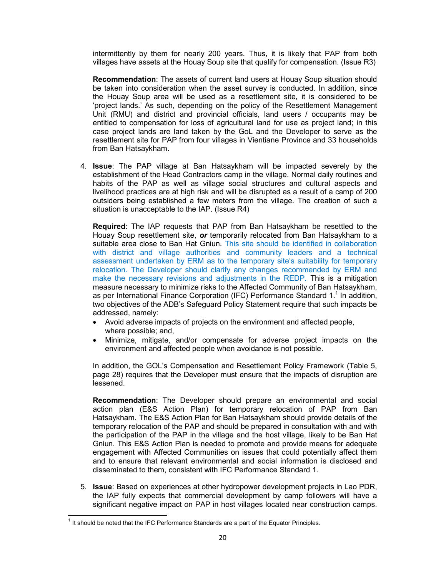intermittently by them for nearly 200 years. Thus, it is likely that PAP from both villages have assets at the Houay Soup site that qualify for compensation. (Issue R3)

**Recommendation**: The assets of current land users at Houay Soup situation should be taken into consideration when the asset survey is conducted. In addition, since the Houay Soup area will be used as a resettlement site, it is considered to be 'project lands.' As such, depending on the policy of the Resettlement Management Unit (RMU) and district and provincial officials, land users / occupants may be entitled to compensation for loss of agricultural land for use as project land; in this case project lands are land taken by the GoL and the Developer to serve as the resettlement site for PAP from four villages in Vientiane Province and 33 households from Ban Hatsaykham.

4. **Issue**: The PAP village at Ban Hatsaykham will be impacted severely by the establishment of the Head Contractors camp in the village. Normal daily routines and habits of the PAP as well as village social structures and cultural aspects and livelihood practices are at high risk and will be disrupted as a result of a camp of 200 outsiders being established a few meters from the village. The creation of such a situation is unacceptable to the IAP. (Issue R4)

**Required**: The IAP requests that PAP from Ban Hatsaykham be resettled to the Houay Soup resettlement site, *or* temporarily relocated from Ban Hatsaykham to a suitable area close to Ban Hat Gniun. This site should be identified in collaboration with district and village authorities and community leaders and a technical assessment undertaken by ERM as to the temporary site's suitability for temporary relocation. The Developer should clarify any changes recommended by ERM and make the necessary revisions and adjustments in the REDP. This is a mitigation measure necessary to minimize risks to the Affected Community of Ban Hatsaykham, as per International Finance Corporation (IFC) Performance Standard 1.<sup>1</sup> In addition, two objectives of the ADB's Safeguard Policy Statement require that such impacts be addressed, namely:

- Avoid adverse impacts of projects on the environment and affected people, where possible; and,
- Minimize, mitigate, and/or compensate for adverse project impacts on the environment and affected people when avoidance is not possible.

In addition, the GOL's Compensation and Resettlement Policy Framework (Table 5, page 28) requires that the Developer must ensure that the impacts of disruption are lessened.

**Recommendation**: The Developer should prepare an environmental and social action plan (E&S Action Plan) for temporary relocation of PAP from Ban Hatsaykham. The E&S Action Plan for Ban Hatsaykham should provide details of the temporary relocation of the PAP and should be prepared in consultation with and with the participation of the PAP in the village and the host village, likely to be Ban Hat Gniun. This E&S Action Plan is needed to promote and provide means for adequate engagement with Affected Communities on issues that could potentially affect them and to ensure that relevant environmental and social information is disclosed and disseminated to them, consistent with IFC Performance Standard 1.

5. **Issue**: Based on experiences at other hydropower development projects in Lao PDR, the IAP fully expects that commercial development by camp followers will have a significant negative impact on PAP in host villages located near construction camps.

 $\overline{a}$ 

 $<sup>1</sup>$  It should be noted that the IFC Performance Standards are a part of the Equator Principles.</sup>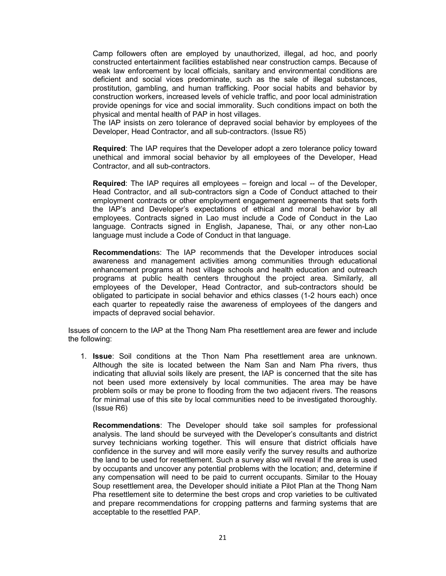Camp followers often are employed by unauthorized, illegal, ad hoc, and poorly constructed entertainment facilities established near construction camps. Because of weak law enforcement by local officials, sanitary and environmental conditions are deficient and social vices predominate, such as the sale of illegal substances, prostitution, gambling, and human trafficking. Poor social habits and behavior by construction workers, increased levels of vehicle traffic, and poor local administration provide openings for vice and social immorality. Such conditions impact on both the physical and mental health of PAP in host villages.

The IAP insists on zero tolerance of depraved social behavior by employees of the Developer, Head Contractor, and all sub-contractors. (Issue R5)

**Required**: The IAP requires that the Developer adopt a zero tolerance policy toward unethical and immoral social behavior by all employees of the Developer, Head Contractor, and all sub-contractors.

**Required**: The IAP requires all employees – foreign and local -- of the Developer, Head Contractor, and all sub-contractors sign a Code of Conduct attached to their employment contracts or other employment engagement agreements that sets forth the IAP's and Developer's expectations of ethical and moral behavior by all employees. Contracts signed in Lao must include a Code of Conduct in the Lao language. Contracts signed in English, Japanese, Thai, or any other non-Lao language must include a Code of Conduct in that language.

**Recommendation**s: The IAP recommends that the Developer introduces social awareness and management activities among communities through educational enhancement programs at host village schools and health education and outreach programs at public health centers throughout the project area. Similarly, all employees of the Developer, Head Contractor, and sub-contractors should be obligated to participate in social behavior and ethics classes (1-2 hours each) once each quarter to repeatedly raise the awareness of employees of the dangers and impacts of depraved social behavior.

Issues of concern to the IAP at the Thong Nam Pha resettlement area are fewer and include the following:

1. **Issue**: Soil conditions at the Thon Nam Pha resettlement area are unknown. Although the site is located between the Nam San and Nam Pha rivers, thus indicating that alluvial soils likely are present, the IAP is concerned that the site has not been used more extensively by local communities. The area may be have problem soils or may be prone to flooding from the two adjacent rivers. The reasons for minimal use of this site by local communities need to be investigated thoroughly. (Issue R6)

**Recommendations**: The Developer should take soil samples for professional analysis. The land should be surveyed with the Developer's consultants and district survey technicians working together. This will ensure that district officials have confidence in the survey and will more easily verify the survey results and authorize the land to be used for resettlement. Such a survey also will reveal if the area is used by occupants and uncover any potential problems with the location; and, determine if any compensation will need to be paid to current occupants. Similar to the Houay Soup resettlement area, the Developer should initiate a Pilot Plan at the Thong Nam Pha resettlement site to determine the best crops and crop varieties to be cultivated and prepare recommendations for cropping patterns and farming systems that are acceptable to the resettled PAP.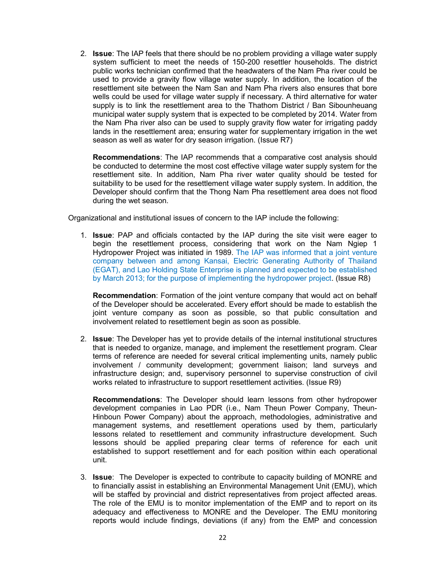2. **Issue**: The IAP feels that there should be no problem providing a village water supply system sufficient to meet the needs of 150-200 resettler households. The district public works technician confirmed that the headwaters of the Nam Pha river could be used to provide a gravity flow village water supply. In addition, the location of the resettlement site between the Nam San and Nam Pha rivers also ensures that bore wells could be used for village water supply if necessary. A third alternative for water supply is to link the resettlement area to the Thathom District / Ban Sibounheuang municipal water supply system that is expected to be completed by 2014. Water from the Nam Pha river also can be used to supply gravity flow water for irrigating paddy lands in the resettlement area; ensuring water for supplementary irrigation in the wet season as well as water for dry season irrigation. (Issue R7)

**Recommendations**: The IAP recommends that a comparative cost analysis should be conducted to determine the most cost effective village water supply system for the resettlement site. In addition, Nam Pha river water quality should be tested for suitability to be used for the resettlement village water supply system. In addition, the Developer should confirm that the Thong Nam Pha resettlement area does not flood during the wet season.

Organizational and institutional issues of concern to the IAP include the following:

1. **Issue**: PAP and officials contacted by the IAP during the site visit were eager to begin the resettlement process, considering that work on the Nam Ngiep 1 Hydropower Project was initiated in 1989. The IAP was informed that a joint venture company between and among Kansai, Electric Generating Authority of Thailand (EGAT), and Lao Holding State Enterprise is planned and expected to be established by March 2013; for the purpose of implementing the hydropower project. (Issue R8)

**Recommendation**: Formation of the joint venture company that would act on behalf of the Developer should be accelerated. Every effort should be made to establish the joint venture company as soon as possible, so that public consultation and involvement related to resettlement begin as soon as possible.

2. **Issue**: The Developer has yet to provide details of the internal institutional structures that is needed to organize, manage, and implement the resettlement program. Clear terms of reference are needed for several critical implementing units, namely public involvement / community development; government liaison; land surveys and infrastructure design; and, supervisory personnel to supervise construction of civil works related to infrastructure to support resettlement activities. (Issue R9)

**Recommendations**: The Developer should learn lessons from other hydropower development companies in Lao PDR (i.e., Nam Theun Power Company, Theun-Hinboun Power Company) about the approach, methodologies, administrative and management systems, and resettlement operations used by them, particularly lessons related to resettlement and community infrastructure development. Such lessons should be applied preparing clear terms of reference for each unit established to support resettlement and for each position within each operational unit.

3. **Issue**: The Developer is expected to contribute to capacity building of MONRE and to financially assist in establishing an Environmental Management Unit (EMU), which will be staffed by provincial and district representatives from project affected areas. The role of the EMU is to monitor implementation of the EMP and to report on its adequacy and effectiveness to MONRE and the Developer. The EMU monitoring reports would include findings, deviations (if any) from the EMP and concession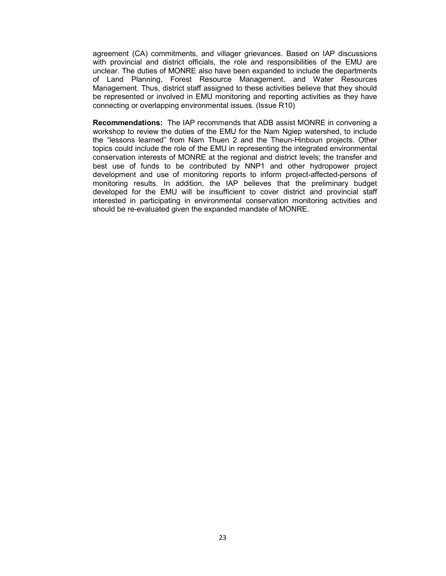agreement (CA) commitments, and villager grievances. Based on IAP discussions with provincial and district officials, the role and responsibilities of the EMU are unclear. The duties of MONRE also have been expanded to include the departments of Land Planning, Forest Resource Management, and Water Resources Management. Thus, district staff assigned to these activities believe that they should be represented or involved in EMU monitoring and reporting activities as they have connecting or overlapping environmental issues. (Issue R10)

**Recommendations:** The IAP recommends that ADB assist MONRE in convening a workshop to review the duties of the EMU for the Nam Ngiep watershed, to include the "lessons learned" from Nam Thuen 2 and the Theun-Hinboun projects. Other topics could include the role of the EMU in representing the integrated environmental conservation interests of MONRE at the regional and district levels; the transfer and best use of funds to be contributed by NNP1 and other hydropower project development and use of monitoring reports to inform project-affected-persons of monitoring results. In addition, the IAP believes that the preliminary budget developed for the EMU will be insufficient to cover district and provincial staff interested in participating in environmental conservation monitoring activities and should be re-evaluated given the expanded mandate of MONRE.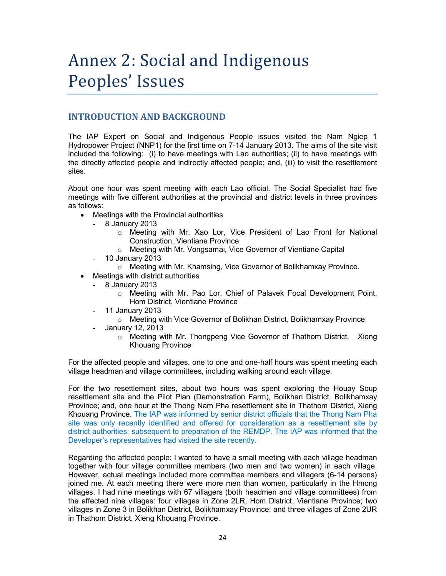# Annex 2: Social and Indigenous Peoples' Issues

## **INTRODUCTION AND BACKGROUND**

The IAP Expert on Social and Indigenous People issues visited the Nam Ngiep 1 Hydropower Project (NNP1) for the first time on 7-14 January 2013. The aims of the site visit included the following: (i) to have meetings with Lao authorities; (ii) to have meetings with the directly affected people and indirectly affected people; and, (iii) to visit the resettlement sites.

About one hour was spent meeting with each Lao official. The Social Specialist had five meetings with five different authorities at the provincial and district levels in three provinces as follows:

- Meetings with the Provincial authorities
	- 8 January 2013
		- o Meeting with Mr. Xao Lor, Vice President of Lao Front for National Construction, Vientiane Province
		- o Meeting with Mr. Vongsamai, Vice Governor of Vientiane Capital
	- 10 January 2013
		- $\circ$  Meeting with Mr. Khamsing, Vice Governor of Bolikhamxay Province.
- Meetings with district authorities
	- 8 January 2013
		- $\circ$  Meeting with Mr. Pao Lor, Chief of Palavek Focal Development Point, Hom District, Vientiane Province
	- 11 January 2013
		- o Meeting with Vice Governor of Bolikhan District, Bolikhamxay Province
	- January 12, 2013
		- o Meeting with Mr. Thongpeng Vice Governor of Thathom District, Xieng Khouang Province

For the affected people and villages, one to one and one-half hours was spent meeting each village headman and village committees, including walking around each village.

For the two resettlement sites, about two hours was spent exploring the Houay Soup resettlement site and the Pilot Plan (Demonstration Farm), Bolikhan District, Bolikhamxay Province; and, one hour at the Thong Nam Pha resettlement site in Thathom District, Xieng Khouang Province. The IAP was informed by senior district officials that the Thong Nam Pha site was only recently identified and offered for consideration as a resettlement site by district authorities; subsequent to preparation of the REMDP. The IAP was informed that the Developer's representatives had visited the site recently.

Regarding the affected people: I wanted to have a small meeting with each village headman together with four village committee members (two men and two women) in each village. However, actual meetings included more committee members and villagers (6-14 persons) joined me. At each meeting there were more men than women, particularly in the Hmong villages. I had nine meetings with 67 villagers (both headmen and village committees) from the affected nine villages: four villages in Zone 2LR, Hom District, Vientiane Province; two villages in Zone 3 in Bolikhan District, Bolikhamxay Province; and three villages of Zone 2UR in Thathom District, Xieng Khouang Province.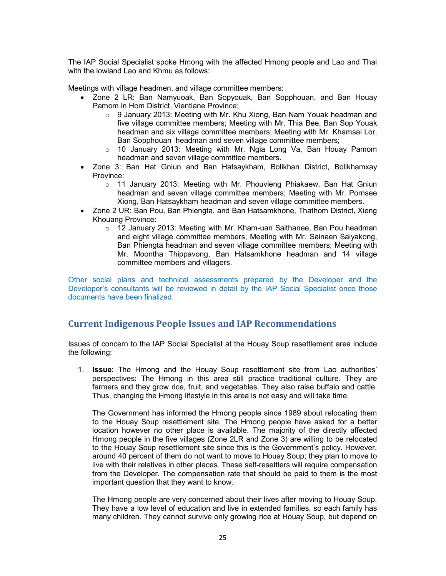The IAP Social Specialist spoke Hmong with the affected Hmong people and Lao and Thai with the lowland Lao and Khmu as follows:

Meetings with village headmen, and village committee members:

- Zone 2 LR: Ban Namyuoak, Ban Sopyouak, Ban Sopphouan, and Ban Houay Pamom in Hom District, Vientiane Province;
	- $\circ$  9 January 2013: Meeting with Mr. Khu Xiong, Ban Nam Youak headman and five village committee members; Meeting with Mr. Thia Bee, Ban Sop Youak headman and six village committee members; Meeting with Mr. Khamsai Lor, Ban Sopphouan headman and seven village committee members;
	- o 10 January 2013: Meeting with Mr. Ngia Long Va, Ban Houay Pamom headman and seven village committee members.
- Zone 3: Ban Hat Gniun and Ban Hatsaykham, Bolikhan District, Bolikhamxay Province:
	- o 11 January 2013: Meeting with Mr. Phouvieng Phiakaew, Ban Hat Gniun headman and seven village committee members; Meeting with Mr. Pornsee Xiong, Ban Hatsaykham headman and seven village committee members.
- Zone 2 UR: Ban Pou, Ban Phiengta, and Ban Hatsamkhone, Thathom District, Xieng Khouang Province:
	- $\circ$  12 January 2013: Meeting with Mr. Kham-uan Saithanee, Ban Pou headman and eight village committee members; Meeting with Mr. Sainaen Saiyakong, Ban Phiengta headman and seven village committee members; Meeting with Mr. Moontha Thippavong, Ban Hatsamkhone headman and 14 village committee members and villagers.

Other social plans and technical assessments prepared by the Developer and the Developer's consultants will be reviewed in detail by the IAP Social Specialist once those documents have been finalized.

## **Current Indigenous People Issues and IAP Recommendations**

Issues of concern to the IAP Social Specialist at the Houay Soup resettlement area include the following:

1. **Issue**: The Hmong and the Houay Soup resettlement site from Lao authorities' perspectives: The Hmong in this area still practice traditional culture. They are farmers and they grow rice, fruit, and vegetables. They also raise buffalo and cattle. Thus, changing the Hmong lifestyle in this area is not easy and will take time.

The Government has informed the Hmong people since 1989 about relocating them to the Houay Soup resettlement site. The Hmong people have asked for a better location however no other place is available. The majority of the directly affected Hmong people in the five villages (Zone 2LR and Zone 3) are willing to be relocated to the Houay Soup resettlement site since this is the Government's policy. However, around 40 percent of them do not want to move to Houay Soup; they plan to move to live with their relatives in other places. These self-resettlers will require compensation from the Developer. The compensation rate that should be paid to them is the most important question that they want to know.

The Hmong people are very concerned about their lives after moving to Houay Soup. They have a low level of education and live in extended families, so each family has many children. They cannot survive only growing rice at Houay Soup, but depend on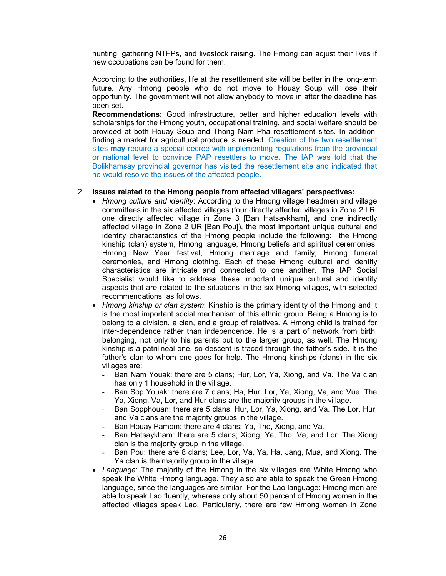hunting, gathering NTFPs, and livestock raising. The Hmong can adjust their lives if new occupations can be found for them.

According to the authorities, life at the resettlement site will be better in the long-term future. Any Hmong people who do not move to Houay Soup will lose their opportunity. The government will not allow anybody to move in after the deadline has been set.

**Recommendations:** Good infrastructure, better and higher education levels with scholarships for the Hmong youth, occupational training, and social welfare should be provided at both Houay Soup and Thong Nam Pha resettlement sites. In addition, finding a market for agricultural produce is needed. Creation of the two resettlement sites **may** require a special decree with implementing regulations from the provincial or national level to convince PAP resettlers to move. The IAP was told that the Bolikhamsay provincial governor has visited the resettlement site and indicated that he would resolve the issues of the affected people.

### 2. **Issues related to the Hmong people from affected villagers' perspectives:**

- *Hmong culture and identity*: According to the Hmong village headmen and village committees in the six affected villages (four directly affected villages in Zone 2 LR, one directly affected village in Zone 3 [Ban Hatsaykham], and one indirectly affected village in Zone 2 UR [Ban Pou]), the most important unique cultural and identity characteristics of the Hmong people include the following: the Hmong kinship (clan) system, Hmong language, Hmong beliefs and spiritual ceremonies, Hmong New Year festival, Hmong marriage and family, Hmong funeral ceremonies, and Hmong clothing. Each of these Hmong cultural and identity characteristics are intricate and connected to one another. The IAP Social Specialist would like to address these important unique cultural and identity aspects that are related to the situations in the six Hmong villages, with selected recommendations, as follows.
- *Hmong kinship or clan system*: Kinship is the primary identity of the Hmong and it is the most important social mechanism of this ethnic group. Being a Hmong is to belong to a division, a clan, and a group of relatives. A Hmong child is trained for inter-dependence rather than independence. He is a part of network from birth, belonging, not only to his parents but to the larger group, as well. The Hmong kinship is a patrilineal one, so descent is traced through the father's side. It is the father's clan to whom one goes for help. The Hmong kinships (clans) in the six villages are:
	- Ban Nam Youak: there are 5 clans; Hur, Lor, Ya, Xiong, and Va. The Va clan has only 1 household in the village.
	- Ban Sop Youak: there are 7 clans; Ha, Hur, Lor, Ya, Xiong, Va, and Vue. The Ya, Xiong, Va, Lor, and Hur clans are the majority groups in the village.
	- Ban Sopphouan: there are 5 clans; Hur, Lor, Ya, Xiong, and Va. The Lor, Hur, and Va clans are the majority groups in the village.
	- Ban Houay Pamom: there are 4 clans; Ya, Tho, Xiong, and Va.
	- Ban Hatsaykham: there are 5 clans; Xiong, Ya, Tho, Va, and Lor. The Xiong clan is the majority group in the village.
	- Ban Pou: there are 8 clans; Lee, Lor, Va, Ya, Ha, Jang, Mua, and Xiong. The Ya clan is the majority group in the village.
- *Language*: The majority of the Hmong in the six villages are White Hmong who speak the White Hmong language. They also are able to speak the Green Hmong language, since the languages are similar. For the Lao language: Hmong men are able to speak Lao fluently, whereas only about 50 percent of Hmong women in the affected villages speak Lao. Particularly, there are few Hmong women in Zone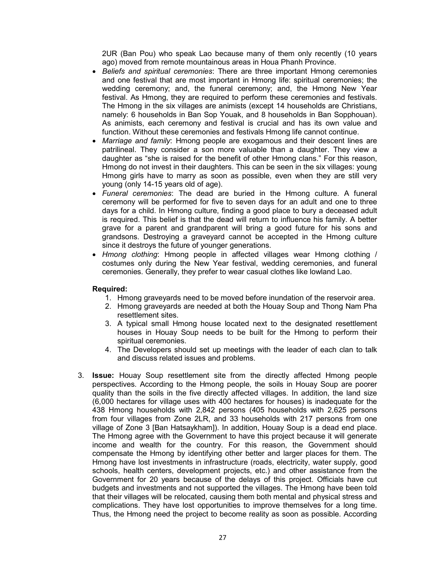2UR (Ban Pou) who speak Lao because many of them only recently (10 years ago) moved from remote mountainous areas in Houa Phanh Province.

- *Beliefs and spiritual ceremonies*: There are three important Hmong ceremonies and one festival that are most important in Hmong life: spiritual ceremonies; the wedding ceremony; and, the funeral ceremony; and, the Hmong New Year festival. As Hmong, they are required to perform these ceremonies and festivals. The Hmong in the six villages are animists (except 14 households are Christians, namely: 6 households in Ban Sop Youak, and 8 households in Ban Sopphouan). As animists, each ceremony and festival is crucial and has its own value and function. Without these ceremonies and festivals Hmong life cannot continue.
- *Marriage and family*: Hmong people are exogamous and their descent lines are patrilineal. They consider a son more valuable than a daughter. They view a daughter as "she is raised for the benefit of other Hmong clans." For this reason, Hmong do not invest in their daughters. This can be seen in the six villages: young Hmong girls have to marry as soon as possible, even when they are still very young (only 14-15 years old of age).
- *Funeral ceremonies*: The dead are buried in the Hmong culture. A funeral ceremony will be performed for five to seven days for an adult and one to three days for a child. In Hmong culture, finding a good place to bury a deceased adult is required. This belief is that the dead will return to influence his family. A better grave for a parent and grandparent will bring a good future for his sons and grandsons. Destroying a graveyard cannot be accepted in the Hmong culture since it destroys the future of younger generations.
- *Hmong clothing*: Hmong people in affected villages wear Hmong clothing / costumes only during the New Year festival, wedding ceremonies, and funeral ceremonies. Generally, they prefer to wear casual clothes like lowland Lao.

### **Required:**

- 1. Hmong graveyards need to be moved before inundation of the reservoir area.
- 2. Hmong graveyards are needed at both the Houay Soup and Thong Nam Pha resettlement sites.
- 3. A typical small Hmong house located next to the designated resettlement houses in Houay Soup needs to be built for the Hmong to perform their spiritual ceremonies.
- 4. The Developers should set up meetings with the leader of each clan to talk and discuss related issues and problems.
- 3. **Issue:** Houay Soup resettlement site from the directly affected Hmong people perspectives. According to the Hmong people, the soils in Houay Soup are poorer quality than the soils in the five directly affected villages. In addition, the land size (6,000 hectares for village uses with 400 hectares for houses) is inadequate for the 438 Hmong households with 2,842 persons (405 households with 2,625 persons from four villages from Zone 2LR, and 33 households with 217 persons from one village of Zone 3 [Ban Hatsaykham]). In addition, Houay Soup is a dead end place. The Hmong agree with the Government to have this project because it will generate income and wealth for the country. For this reason, the Government should compensate the Hmong by identifying other better and larger places for them. The Hmong have lost investments in infrastructure (roads, electricity, water supply, good schools, health centers, development projects, etc.) and other assistance from the Government for 20 years because of the delays of this project. Officials have cut budgets and investments and not supported the villages. The Hmong have been told that their villages will be relocated, causing them both mental and physical stress and complications. They have lost opportunities to improve themselves for a long time. Thus, the Hmong need the project to become reality as soon as possible. According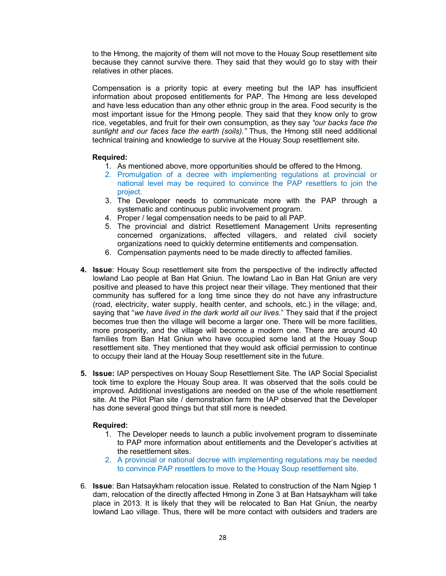to the Hmong, the majority of them will not move to the Houay Soup resettlement site because they cannot survive there. They said that they would go to stay with their relatives in other places.

Compensation is a priority topic at every meeting but the IAP has insufficient information about proposed entitlements for PAP. The Hmong are less developed and have less education than any other ethnic group in the area. Food security is the most important issue for the Hmong people. They said that they know only to grow rice, vegetables, and fruit for their own consumption, as they say *"our backs face the sunlight and our faces face the earth (soils)."* Thus, the Hmong still need additional technical training and knowledge to survive at the Houay Soup resettlement site.

### **Required:**

- 1. As mentioned above, more opportunities should be offered to the Hmong.
- 2. Promulgation of a decree with implementing regulations at provincial or national level may be required to convince the PAP resettlers to join the project.
- 3. The Developer needs to communicate more with the PAP through a systematic and continuous public involvement program.
- 4. Proper / legal compensation needs to be paid to all PAP.
- 5. The provincial and district Resettlement Management Units representing concerned organizations, affected villagers, and related civil society organizations need to quickly determine entitlements and compensation.
- 6. Compensation payments need to be made directly to affected families.
- **4. Issue**: Houay Soup resettlement site from the perspective of the indirectly affected lowland Lao people at Ban Hat Gniun. The lowland Lao in Ban Hat Gniun are very positive and pleased to have this project near their village. They mentioned that their community has suffered for a long time since they do not have any infrastructure (road, electricity, water supply, health center, and schools, etc.) in the village; and, saying that "*we have lived in the dark world all our lives*." They said that if the project becomes true then the village will become a larger one. There will be more facilities, more prosperity, and the village will become a modern one. There are around 40 families from Ban Hat Gniun who have occupied some land at the Houay Soup resettlement site. They mentioned that they would ask official permission to continue to occupy their land at the Houay Soup resettlement site in the future.
- **5. Issue:** IAP perspectives on Houay Soup Resettlement Site. The IAP Social Specialist took time to explore the Houay Soup area. It was observed that the soils could be improved. Additional investigations are needed on the use of the whole resettlement site. At the Pilot Plan site / demonstration farm the IAP observed that the Developer has done several good things but that still more is needed.

### **Required:**

- 1. The Developer needs to launch a public involvement program to disseminate to PAP more information about entitlements and the Developer's activities at the resettlement sites.
- 2. A provincial or national decree with implementing regulations may be needed to convince PAP resettlers to move to the Houay Soup resettlement site.
- 6. **Issue**: Ban Hatsaykham relocation issue. Related to construction of the Nam Ngiep 1 dam, relocation of the directly affected Hmong in Zone 3 at Ban Hatsaykham will take place in 2013. It is likely that they will be relocated to Ban Hat Gniun, the nearby lowland Lao village. Thus, there will be more contact with outsiders and traders are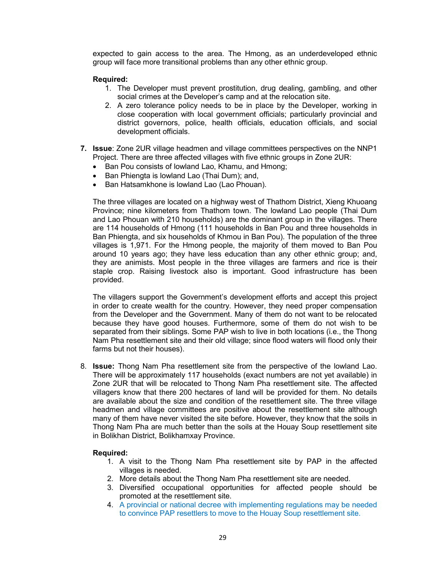expected to gain access to the area. The Hmong, as an underdeveloped ethnic group will face more transitional problems than any other ethnic group.

### **Required:**

- 1. The Developer must prevent prostitution, drug dealing, gambling, and other social crimes at the Developer's camp and at the relocation site.
- 2. A zero tolerance policy needs to be in place by the Developer, working in close cooperation with local government officials; particularly provincial and district governors, police, health officials, education officials, and social development officials.
- **7. Issue**: Zone 2UR village headmen and village committees perspectives on the NNP1 Project. There are three affected villages with five ethnic groups in Zone 2UR:
	- Ban Pou consists of lowland Lao, Khamu, and Hmong;
	- Ban Phiengta is lowland Lao (Thai Dum); and,
	- Ban Hatsamkhone is lowland Lao (Lao Phouan).

The three villages are located on a highway west of Thathom District, Xieng Khuoang Province; nine kilometers from Thathom town. The lowland Lao people (Thai Dum and Lao Phouan with 210 households) are the dominant group in the villages. There are 114 households of Hmong (111 households in Ban Pou and three households in Ban Phiengta, and six households of Khmou in Ban Pou). The population of the three villages is 1,971. For the Hmong people, the majority of them moved to Ban Pou around 10 years ago; they have less education than any other ethnic group; and, they are animists. Most people in the three villages are farmers and rice is their staple crop. Raising livestock also is important. Good infrastructure has been provided.

The villagers support the Government's development efforts and accept this project in order to create wealth for the country. However, they need proper compensation from the Developer and the Government. Many of them do not want to be relocated because they have good houses. Furthermore, some of them do not wish to be separated from their siblings. Some PAP wish to live in both locations (i.e., the Thong Nam Pha resettlement site and their old village; since flood waters will flood only their farms but not their houses).

8. **Issue:** Thong Nam Pha resettlement site from the perspective of the lowland Lao. There will be approximately 117 households (exact numbers are not yet available) in Zone 2UR that will be relocated to Thong Nam Pha resettlement site. The affected villagers know that there 200 hectares of land will be provided for them. No details are available about the size and condition of the resettlement site. The three village headmen and village committees are positive about the resettlement site although many of them have never visited the site before. However, they know that the soils in Thong Nam Pha are much better than the soils at the Houay Soup resettlement site in Bolikhan District, Bolikhamxay Province.

### **Required:**

- 1. A visit to the Thong Nam Pha resettlement site by PAP in the affected villages is needed.
- 2. More details about the Thong Nam Pha resettlement site are needed.
- 3. Diversified occupational opportunities for affected people should be promoted at the resettlement site.
- 4. A provincial or national decree with implementing regulations may be needed to convince PAP resettlers to move to the Houay Soup resettlement site.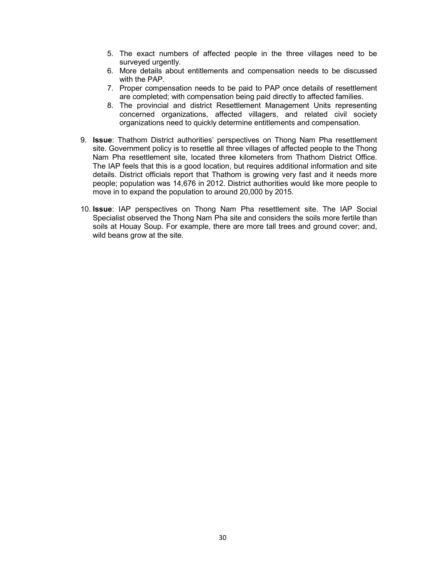- 5. The exact numbers of affected people in the three villages need to be surveyed urgently.
- 6. More details about entitlements and compensation needs to be discussed with the PAP.
- 7. Proper compensation needs to be paid to PAP once details of resettlement are completed; with compensation being paid directly to affected families.
- 8. The provincial and district Resettlement Management Units representing concerned organizations, affected villagers, and related civil society organizations need to quickly determine entitlements and compensation.
- 9. **Issue**: Thathom District authorities' perspectives on Thong Nam Pha resettlement site. Government policy is to resettle all three villages of affected people to the Thong Nam Pha resettlement site, located three kilometers from Thathom District Office. The IAP feels that this is a good location, but requires additional information and site details. District officials report that Thathom is growing very fast and it needs more people; population was 14,676 in 2012. District authorities would like more people to move in to expand the population to around 20,000 by 2015.
- 10. **Issue**: IAP perspectives on Thong Nam Pha resettlement site. The IAP Social Specialist observed the Thong Nam Pha site and considers the soils more fertile than soils at Houay Soup. For example, there are more tall trees and ground cover; and, wild beans grow at the site.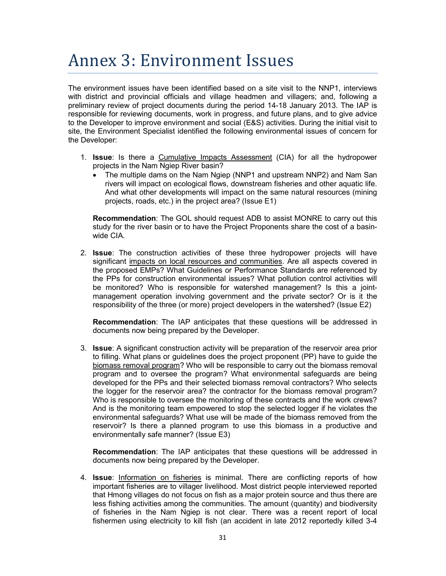# Annex 3: Environment Issues

The environment issues have been identified based on a site visit to the NNP1, interviews with district and provincial officials and village headmen and villagers; and, following a preliminary review of project documents during the period 14-18 January 2013. The IAP is responsible for reviewing documents, work in progress, and future plans, and to give advice to the Developer to improve environment and social (E&S) activities. During the initial visit to site, the Environment Specialist identified the following environmental issues of concern for the Developer:

- 1. **Issue**: Is there a Cumulative Impacts Assessment (CIA) for all the hydropower projects in the Nam Ngiep River basin?
	- The multiple dams on the Nam Ngiep (NNP1 and upstream NNP2) and Nam San rivers will impact on ecological flows, downstream fisheries and other aquatic life. And what other developments will impact on the same natural resources (mining projects, roads, etc.) in the project area? (Issue E1)

**Recommendation**: The GOL should request ADB to assist MONRE to carry out this study for the river basin or to have the Project Proponents share the cost of a basinwide CIA.

2. **Issue**: The construction activities of these three hydropower projects will have significant impacts on local resources and communities. Are all aspects covered in the proposed EMPs? What Guidelines or Performance Standards are referenced by the PPs for construction environmental issues? What pollution control activities will be monitored? Who is responsible for watershed management? Is this a jointmanagement operation involving government and the private sector? Or is it the responsibility of the three (or more) project developers in the watershed? (Issue E2)

**Recommendation**: The IAP anticipates that these questions will be addressed in documents now being prepared by the Developer.

3. **Issue**: A significant construction activity will be preparation of the reservoir area prior to filling. What plans or guidelines does the project proponent (PP) have to guide the biomass removal program? Who will be responsible to carry out the biomass removal program and to oversee the program? What environmental safeguards are being developed for the PPs and their selected biomass removal contractors? Who selects the logger for the reservoir area? the contractor for the biomass removal program? Who is responsible to oversee the monitoring of these contracts and the work crews? And is the monitoring team empowered to stop the selected logger if he violates the environmental safeguards? What use will be made of the biomass removed from the reservoir? Is there a planned program to use this biomass in a productive and environmentally safe manner? (Issue E3)

**Recommendation**: The IAP anticipates that these questions will be addressed in documents now being prepared by the Developer.

4. **Issue**: Information on fisheries is minimal. There are conflicting reports of how important fisheries are to villager livelihood. Most district people interviewed reported that Hmong villages do not focus on fish as a major protein source and thus there are less fishing activities among the communities. The amount (quantity) and biodiversity of fisheries in the Nam Ngiep is not clear. There was a recent report of local fishermen using electricity to kill fish (an accident in late 2012 reportedly killed 3-4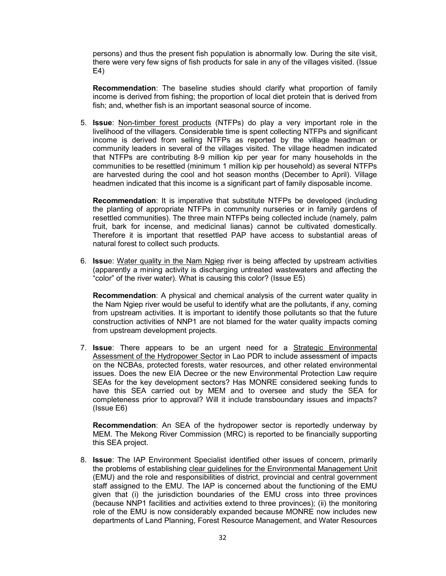persons) and thus the present fish population is abnormally low. During the site visit, there were very few signs of fish products for sale in any of the villages visited. (Issue E4)

**Recommendation**: The baseline studies should clarify what proportion of family income is derived from fishing; the proportion of local diet protein that is derived from fish; and, whether fish is an important seasonal source of income.

5. **Issue**: Non-timber forest products (NTFPs) do play a very important role in the livelihood of the villagers. Considerable time is spent collecting NTFPs and significant income is derived from selling NTFPs as reported by the village headman or community leaders in several of the villages visited. The village headmen indicated that NTFPs are contributing 8-9 million kip per year for many households in the communities to be resettled (minimum 1 million kip per household) as several NTFPs are harvested during the cool and hot season months (December to April). Village headmen indicated that this income is a significant part of family disposable income.

**Recommendation**: It is imperative that substitute NTFPs be developed (including the planting of appropriate NTFPs in community nurseries or in family gardens of resettled communities). The three main NTFPs being collected include (namely, palm fruit, bark for incense, and medicinal lianas) cannot be cultivated domestically. Therefore it is important that resettled PAP have access to substantial areas of natural forest to collect such products.

6. **Issu**e: Water quality in the Nam Ngiep river is being affected by upstream activities (apparently a mining activity is discharging untreated wastewaters and affecting the "color" of the river water). What is causing this color? (Issue E5)

**Recommendation**: A physical and chemical analysis of the current water quality in the Nam Ngiep river would be useful to identify what are the pollutants, if any, coming from upstream activities. It is important to identify those pollutants so that the future construction activities of NNP1 are not blamed for the water quality impacts coming from upstream development projects.

7. **Issue**: There appears to be an urgent need for a Strategic Environmental Assessment of the Hydropower Sector in Lao PDR to include assessment of impacts on the NCBAs, protected forests, water resources, and other related environmental issues. Does the new EIA Decree or the new Environmental Protection Law require SEAs for the key development sectors? Has MONRE considered seeking funds to have this SEA carried out by MEM and to oversee and study the SEA for completeness prior to approval? Will it include transboundary issues and impacts? (Issue E6)

**Recommendation**: An SEA of the hydropower sector is reportedly underway by MEM. The Mekong River Commission (MRC) is reported to be financially supporting this SEA project.

8. **Issue**: The IAP Environment Specialist identified other issues of concern, primarily the problems of establishing clear guidelines for the Environmental Management Unit (EMU) and the role and responsibilities of district, provincial and central government staff assigned to the EMU. The IAP is concerned about the functioning of the EMU given that (i) the jurisdiction boundaries of the EMU cross into three provinces (because NNP1 facilities and activities extend to three provinces); (ii) the monitoring role of the EMU is now considerably expanded because MONRE now includes new departments of Land Planning, Forest Resource Management, and Water Resources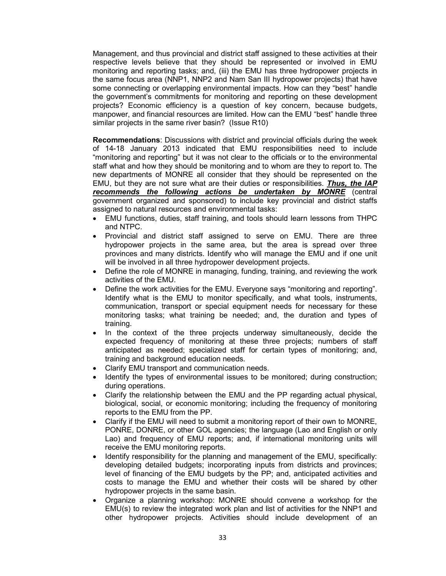Management, and thus provincial and district staff assigned to these activities at their respective levels believe that they should be represented or involved in EMU monitoring and reporting tasks; and, (iii) the EMU has three hydropower projects in the same focus area (NNP1, NNP2 and Nam San III hydropower projects) that have some connecting or overlapping environmental impacts. How can they "best" handle the government's commitments for monitoring and reporting on these development projects? Economic efficiency is a question of key concern, because budgets, manpower, and financial resources are limited. How can the EMU "best" handle three similar projects in the same river basin? (Issue R10)

**Recommendations**: Discussions with district and provincial officials during the week of 14-18 January 2013 indicated that EMU responsibilities need to include "monitoring and reporting" but it was not clear to the officials or to the environmental staff what and how they should be monitoring and to whom are they to report to. The new departments of MONRE all consider that they should be represented on the EMU, but they are not sure what are their duties or responsibilities. *Thus, the IAP recommends the following actions be undertaken by MONRE* (central government organized and sponsored) to include key provincial and district staffs assigned to natural resources and environmental tasks:

- EMU functions, duties, staff training, and tools should learn lessons from THPC and NTPC.
- Provincial and district staff assigned to serve on EMU. There are three hydropower projects in the same area, but the area is spread over three provinces and many districts. Identify who will manage the EMU and if one unit will be involved in all three hydropower development projects.
- Define the role of MONRE in managing, funding, training, and reviewing the work activities of the EMU.
- Define the work activities for the EMU. Everyone says "monitoring and reporting". Identify what is the EMU to monitor specifically, and what tools, instruments, communication, transport or special equipment needs for necessary for these monitoring tasks; what training be needed; and, the duration and types of training.
- In the context of the three projects underway simultaneously, decide the expected frequency of monitoring at these three projects; numbers of staff anticipated as needed; specialized staff for certain types of monitoring; and, training and background education needs.
- Clarify EMU transport and communication needs.
- Identify the types of environmental issues to be monitored; during construction; during operations.
- Clarify the relationship between the EMU and the PP regarding actual physical, biological, social, or economic monitoring; including the frequency of monitoring reports to the EMU from the PP.
- Clarify if the EMU will need to submit a monitoring report of their own to MONRE, PONRE, DONRE, or other GOL agencies; the language (Lao and English or only Lao) and frequency of EMU reports; and, if international monitoring units will receive the EMU monitoring reports.
- Identify responsibility for the planning and management of the EMU, specifically: developing detailed budgets; incorporating inputs from districts and provinces; level of financing of the EMU budgets by the PP; and, anticipated activities and costs to manage the EMU and whether their costs will be shared by other hydropower projects in the same basin.
- Organize a planning workshop: MONRE should convene a workshop for the EMU(s) to review the integrated work plan and list of activities for the NNP1 and other hydropower projects. Activities should include development of an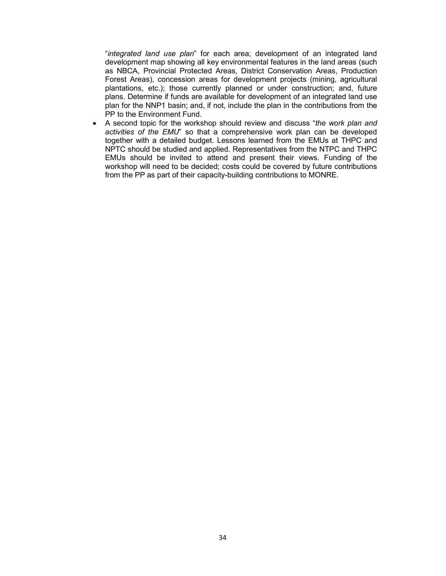"*integrated land use plan*" for each area; development of an integrated land development map showing all key environmental features in the land areas (such as NBCA, Provincial Protected Areas, District Conservation Areas, Production Forest Areas), concession areas for development projects (mining, agricultural plantations, etc.); those currently planned or under construction; and, future plans. Determine if funds are available for development of an integrated land use plan for the NNP1 basin; and, if not, include the plan in the contributions from the PP to the Environment Fund.

• A second topic for the workshop should review and discuss "*the work plan and activities of the EMU*" so that a comprehensive work plan can be developed together with a detailed budget. Lessons learned from the EMUs at THPC and NPTC should be studied and applied. Representatives from the NTPC and THPC EMUs should be invited to attend and present their views. Funding of the workshop will need to be decided; costs could be covered by future contributions from the PP as part of their capacity-building contributions to MONRE.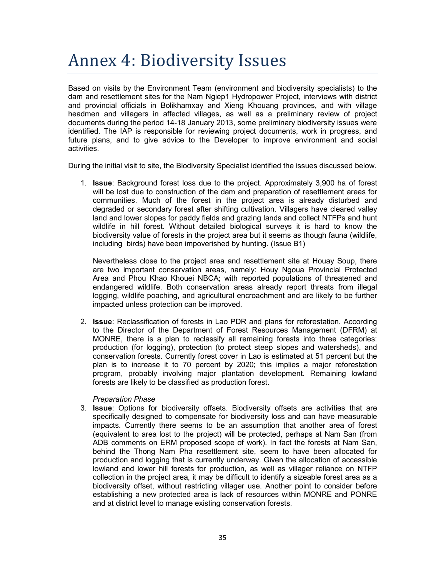# Annex 4: Biodiversity Issues

Based on visits by the Environment Team (environment and biodiversity specialists) to the dam and resettlement sites for the Nam Ngiep1 Hydropower Project, interviews with district and provincial officials in Bolikhamxay and Xieng Khouang provinces, and with village headmen and villagers in affected villages, as well as a preliminary review of project documents during the period 14-18 January 2013, some preliminary biodiversity issues were identified. The IAP is responsible for reviewing project documents, work in progress, and future plans, and to give advice to the Developer to improve environment and social activities.

During the initial visit to site, the Biodiversity Specialist identified the issues discussed below.

1. **Issue**: Background forest loss due to the project. Approximately 3,900 ha of forest will be lost due to construction of the dam and preparation of resettlement areas for communities. Much of the forest in the project area is already disturbed and degraded or secondary forest after shifting cultivation. Villagers have cleared valley land and lower slopes for paddy fields and grazing lands and collect NTFPs and hunt wildlife in hill forest. Without detailed biological surveys it is hard to know the biodiversity value of forests in the project area but it seems as though fauna (wildlife, including birds) have been impoverished by hunting. (Issue B1)

Nevertheless close to the project area and resettlement site at Houay Soup, there are two important conservation areas, namely: Houy Ngoua Provincial Protected Area and Phou Khao Khouei NBCA; with reported populations of threatened and endangered wildlife. Both conservation areas already report threats from illegal logging, wildlife poaching, and agricultural encroachment and are likely to be further impacted unless protection can be improved.

2. **Issue**: Reclassification of forests in Lao PDR and plans for reforestation. According to the Director of the Department of Forest Resources Management (DFRM) at MONRE, there is a plan to reclassify all remaining forests into three categories: production (for logging), protection (to protect steep slopes and watersheds), and conservation forests. Currently forest cover in Lao is estimated at 51 percent but the plan is to increase it to 70 percent by 2020; this implies a major reforestation program, probably involving major plantation development. Remaining lowland forests are likely to be classified as production forest.

### *Preparation Phase*

3. **Issue**: Options for biodiversity offsets. Biodiversity offsets are activities that are specifically designed to compensate for biodiversity loss and can have measurable impacts. Currently there seems to be an assumption that another area of forest (equivalent to area lost to the project) will be protected, perhaps at Nam San (from ADB comments on ERM proposed scope of work). In fact the forests at Nam San, behind the Thong Nam Pha resettlement site, seem to have been allocated for production and logging that is currently underway. Given the allocation of accessible lowland and lower hill forests for production, as well as villager reliance on NTFP collection in the project area, it may be difficult to identify a sizeable forest area as a biodiversity offset, without restricting villager use. Another point to consider before establishing a new protected area is lack of resources within MONRE and PONRE and at district level to manage existing conservation forests.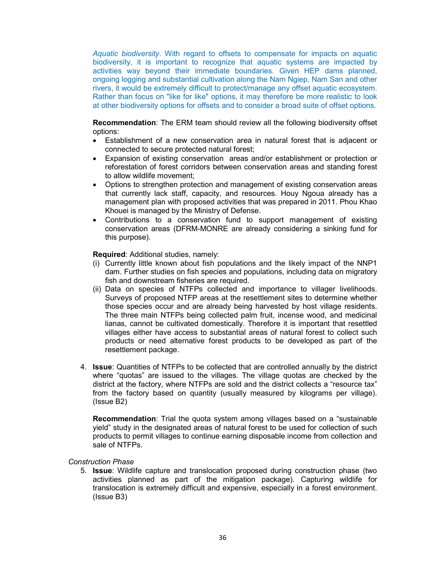*Aquatic biodiversity*. With regard to offsets to compensate for impacts on aquatic biodiversity, it is important to recognize that aquatic systems are impacted by activities way beyond their immediate boundaries. Given HEP dams planned, ongoing logging and substantial cultivation along the Nam Ngiep, Nam San and other rivers, it would be extremely difficult to protect/manage any offset aquatic ecosystem. Rather than focus on "like for like" options, it may therefore be more realistic to look at other biodiversity options for offsets and to consider a broad suite of offset options.

**Recommendation**: The ERM team should review all the following biodiversity offset options:

- Establishment of a new conservation area in natural forest that is adjacent or connected to secure protected natural forest;
- Expansion of existing conservation areas and/or establishment or protection or reforestation of forest corridors between conservation areas and standing forest to allow wildlife movement;
- Options to strengthen protection and management of existing conservation areas that currently lack staff, capacity, and resources. Houy Ngoua already has a management plan with proposed activities that was prepared in 2011. Phou Khao Khouei is managed by the Ministry of Defense.
- Contributions to a conservation fund to support management of existing conservation areas (DFRM-MONRE are already considering a sinking fund for this purpose).

**Required**: Additional studies, namely:

- (i) Currently little known about fish populations and the likely impact of the NNP1 dam. Further studies on fish species and populations, including data on migratory fish and downstream fisheries are required.
- (ii) Data on species of NTFPs collected and importance to villager livelihoods. Surveys of proposed NTFP areas at the resettlement sites to determine whether those species occur and are already being harvested by host village residents. The three main NTFPs being collected palm fruit, incense wood, and medicinal lianas, cannot be cultivated domestically. Therefore it is important that resettled villages either have access to substantial areas of natural forest to collect such products or need alternative forest products to be developed as part of the resettlement package.
- 4. **Issue**: Quantities of NTFPs to be collected that are controlled annually by the district where "quotas" are issued to the villages. The village quotas are checked by the district at the factory, where NTFPs are sold and the district collects a "resource tax" from the factory based on quantity (usually measured by kilograms per village). (Issue B2)

**Recommendation**: Trial the quota system among villages based on a "sustainable yield" study in the designated areas of natural forest to be used for collection of such products to permit villages to continue earning disposable income from collection and sale of NTFPs.

*Construction Phase* 

5. **Issue**: Wildlife capture and translocation proposed during construction phase (two activities planned as part of the mitigation package). Capturing wildlife for translocation is extremely difficult and expensive, especially in a forest environment. (Issue B3)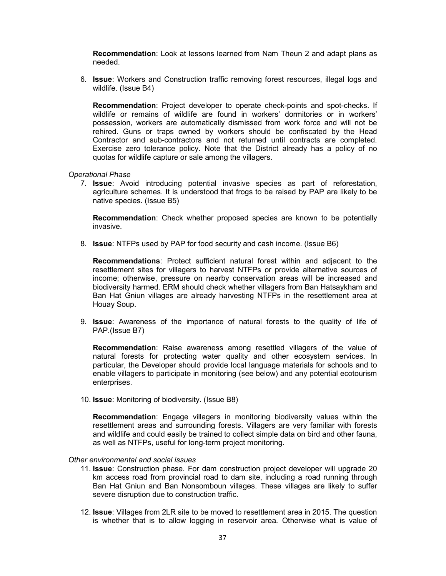**Recommendation**: Look at lessons learned from Nam Theun 2 and adapt plans as needed.

6. **Issue**: Workers and Construction traffic removing forest resources, illegal logs and wildlife. (Issue B4)

**Recommendation**: Project developer to operate check-points and spot-checks. If wildlife or remains of wildlife are found in workers' dormitories or in workers' possession, workers are automatically dismissed from work force and will not be rehired. Guns or traps owned by workers should be confiscated by the Head Contractor and sub-contractors and not returned until contracts are completed. Exercise zero tolerance policy. Note that the District already has a policy of no quotas for wildlife capture or sale among the villagers.

#### *Operational Phase*

7. **Issue**: Avoid introducing potential invasive species as part of reforestation, agriculture schemes. It is understood that frogs to be raised by PAP are likely to be native species. (Issue B5)

**Recommendation**: Check whether proposed species are known to be potentially invasive.

8. **Issue**: NTFPs used by PAP for food security and cash income. (Issue B6)

**Recommendations**: Protect sufficient natural forest within and adjacent to the resettlement sites for villagers to harvest NTFPs or provide alternative sources of income; otherwise, pressure on nearby conservation areas will be increased and biodiversity harmed. ERM should check whether villagers from Ban Hatsaykham and Ban Hat Gniun villages are already harvesting NTFPs in the resettlement area at Houay Soup.

9. **Issue**: Awareness of the importance of natural forests to the quality of life of PAP.(Issue B7)

**Recommendation**: Raise awareness among resettled villagers of the value of natural forests for protecting water quality and other ecosystem services. In particular, the Developer should provide local language materials for schools and to enable villagers to participate in monitoring (see below) and any potential ecotourism enterprises.

10. **Issue**: Monitoring of biodiversity. (Issue B8)

**Recommendation**: Engage villagers in monitoring biodiversity values within the resettlement areas and surrounding forests. Villagers are very familiar with forests and wildlife and could easily be trained to collect simple data on bird and other fauna, as well as NTFPs, useful for long-term project monitoring.

#### *Other environmental and social issues*

- 11. **Issue**: Construction phase. For dam construction project developer will upgrade 20 km access road from provincial road to dam site, including a road running through Ban Hat Gniun and Ban Nonsomboun villages. These villages are likely to suffer severe disruption due to construction traffic.
- 12. **Issue**: Villages from 2LR site to be moved to resettlement area in 2015. The question is whether that is to allow logging in reservoir area. Otherwise what is value of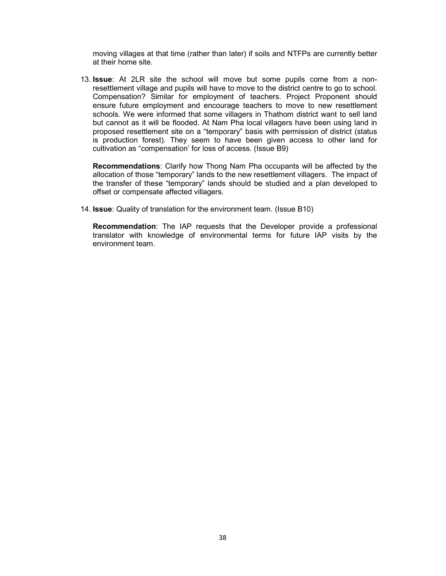moving villages at that time (rather than later) if soils and NTFPs are currently better at their home site.

13. **Issue**: At 2LR site the school will move but some pupils come from a nonresettlement village and pupils will have to move to the district centre to go to school. Compensation? Similar for employment of teachers. Project Proponent should ensure future employment and encourage teachers to move to new resettlement schools. We were informed that some villagers in Thathom district want to sell land but cannot as it will be flooded. At Nam Pha local villagers have been using land in proposed resettlement site on a "temporary" basis with permission of district (status is production forest). They seem to have been given access to other land for cultivation as "compensation' for loss of access. (Issue B9)

**Recommendations**: Clarify how Thong Nam Pha occupants will be affected by the allocation of those "temporary" lands to the new resettlement villagers. The impact of the transfer of these "temporary" lands should be studied and a plan developed to offset or compensate affected villagers.

14. **Issue**: Quality of translation for the environment team. (Issue B10)

**Recommendation**: The IAP requests that the Developer provide a professional translator with knowledge of environmental terms for future IAP visits by the environment team.